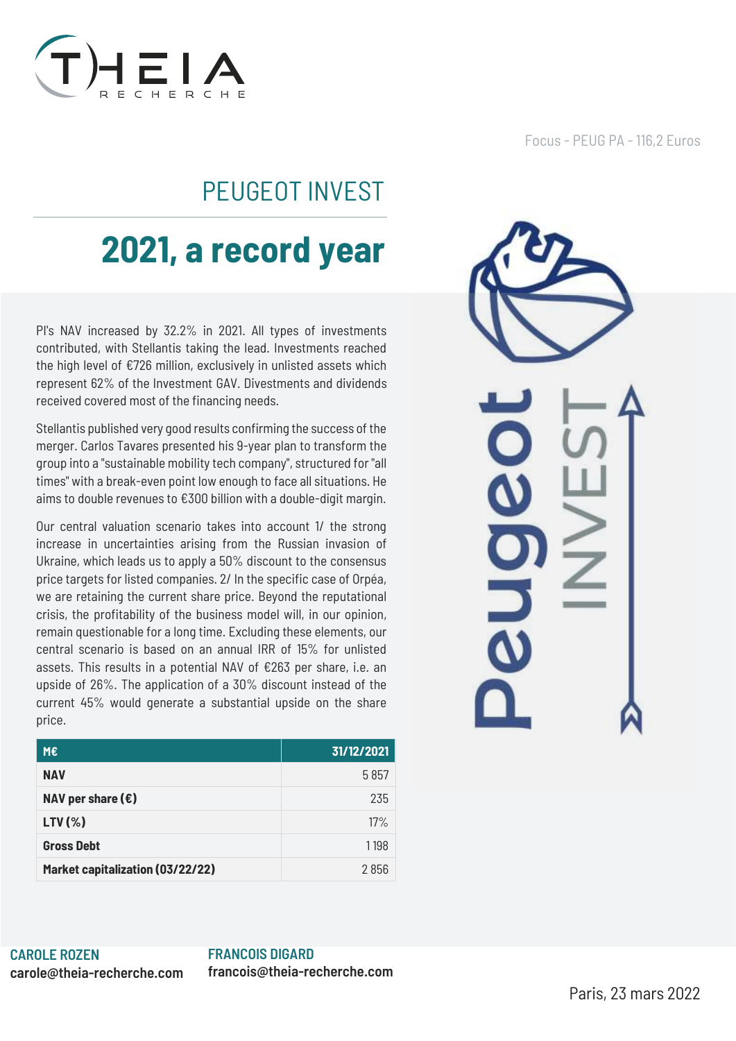

## PEUGEOT INVEST

# **2021, a record year**

PI's NAV increased by 32.2% in 2021. All types of investments contributed, with Stellantis taking the lead. Investments reached the high level of €726 million, exclusively in unlisted assets which represent 62% of the Investment GAV. Divestments and dividends received covered most of the financing needs.

Stellantis published very good results confirming the success of the merger. Carlos Tavares presented his 9-year plan to transform the group into a "sustainable mobility tech company", structured for "all times" with a break-even point low enough to face all situations. He aims to double revenues to €300 billion with a double-digit margin.

Our central valuation scenario takes into account 1/ the strong increase in uncertainties arising from the Russian invasion of Ukraine, which leads us to apply a 50% discount to the consensus price targets for listed companies. 2/ In the specific case of Orpéa, we are retaining the current share price. Beyond the reputational crisis, the profitability of the business model will, in our opinion, remain questionable for a long time. Excluding these elements, our central scenario is based on an annual IRR of 15% for unlisted assets. This results in a potential NAV of €263 per share, i.e. an upside of 26%. The application of a 30% discount instead of the current 45% would generate a substantial upside on the share price.

| M€                               | 31/12/2021 |
|----------------------------------|------------|
| <b>NAV</b>                       | 5857       |
| NAV per share $(\epsilon)$       | 235        |
| $LTV(\%)$                        | 17%        |
| <b>Gross Debt</b>                | 1198       |
| Market capitalization (03/22/22) | 2856       |

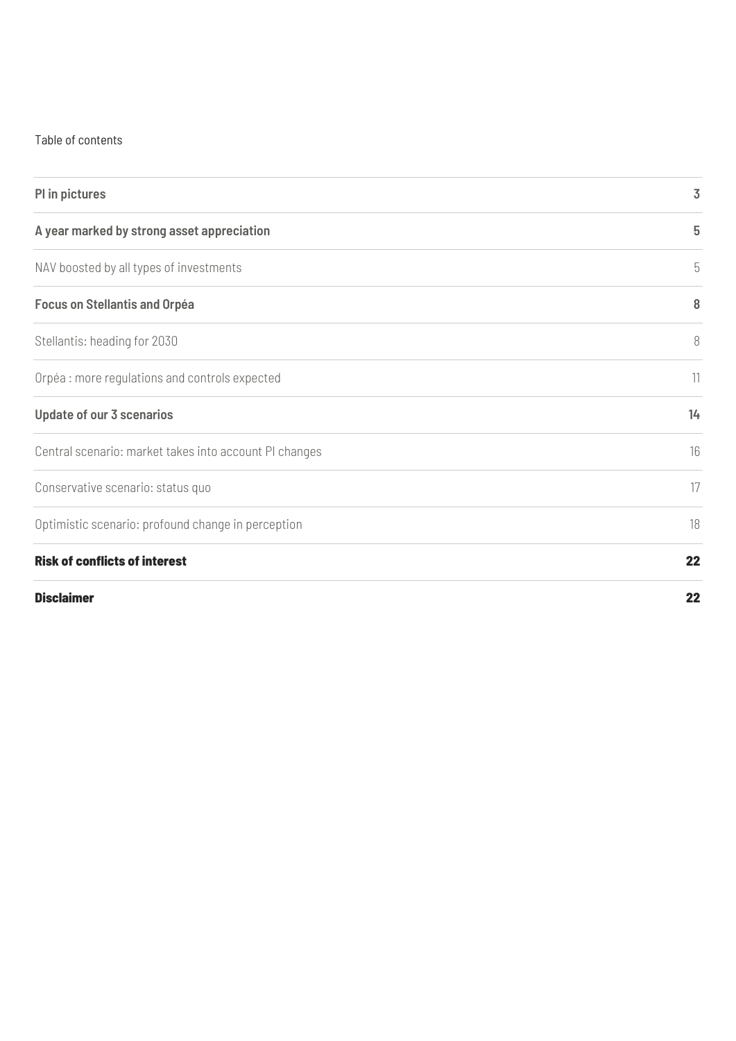#### Table of contents

| PI in pictures                                         | 3  |
|--------------------------------------------------------|----|
| A year marked by strong asset appreciation             | 5  |
| NAV boosted by all types of investments                | 5  |
| <b>Focus on Stellantis and Orpéa</b>                   | 8  |
| Stellantis: heading for 2030                           | 8  |
| Orpéa : more regulations and controls expected         | 11 |
| <b>Update of our 3 scenarios</b>                       | 14 |
| Central scenario: market takes into account PI changes | 16 |
| Conservative scenario: status quo                      | 17 |
| Optimistic scenario: profound change in perception     | 18 |
| <b>Risk of conflicts of interest</b>                   | 22 |
| <b>Disclaimer</b>                                      | 22 |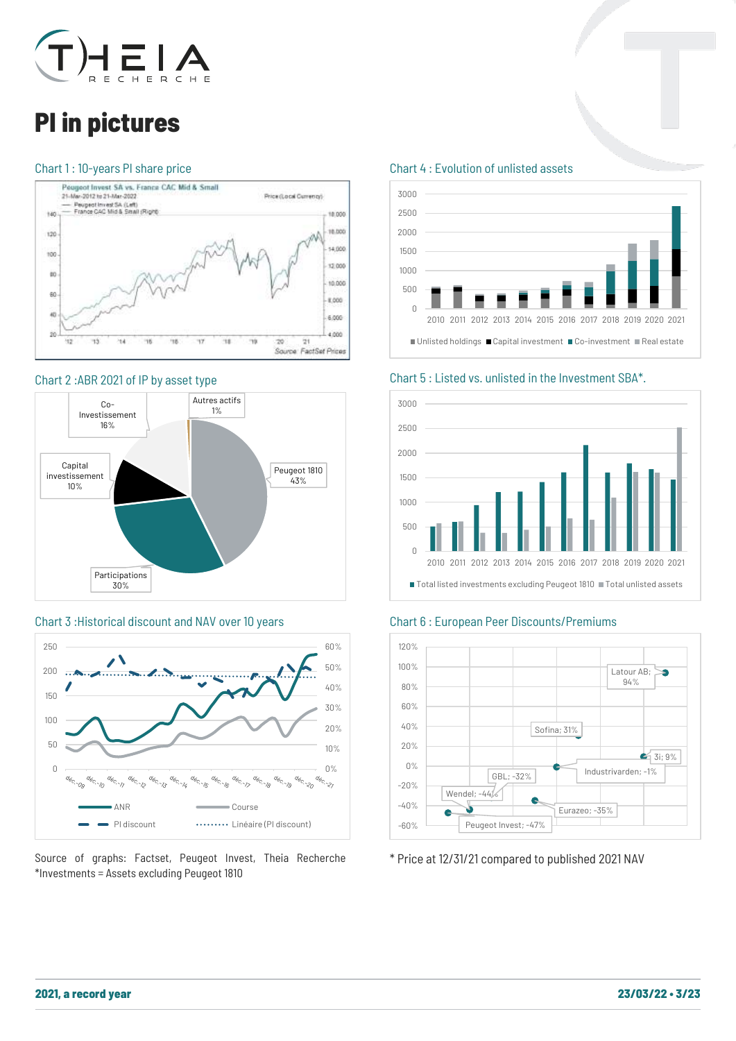

## <span id="page-2-0"></span>PI in pictures

#### Chart 1 : 10-years PI share price



#### Chart 2 :ABR 2021 of IP by asset type



#### Chart 3 :Historical discount and NAV over 10 years





#### Chart 4 : Evolution of unlisted assets



Chart 5 : Listed vs. unlisted in the Investment SBA\*.



#### Chart 6 : European Peer Discounts/Premiums



\* Price at 12/31/21 compared to published 2021 NAV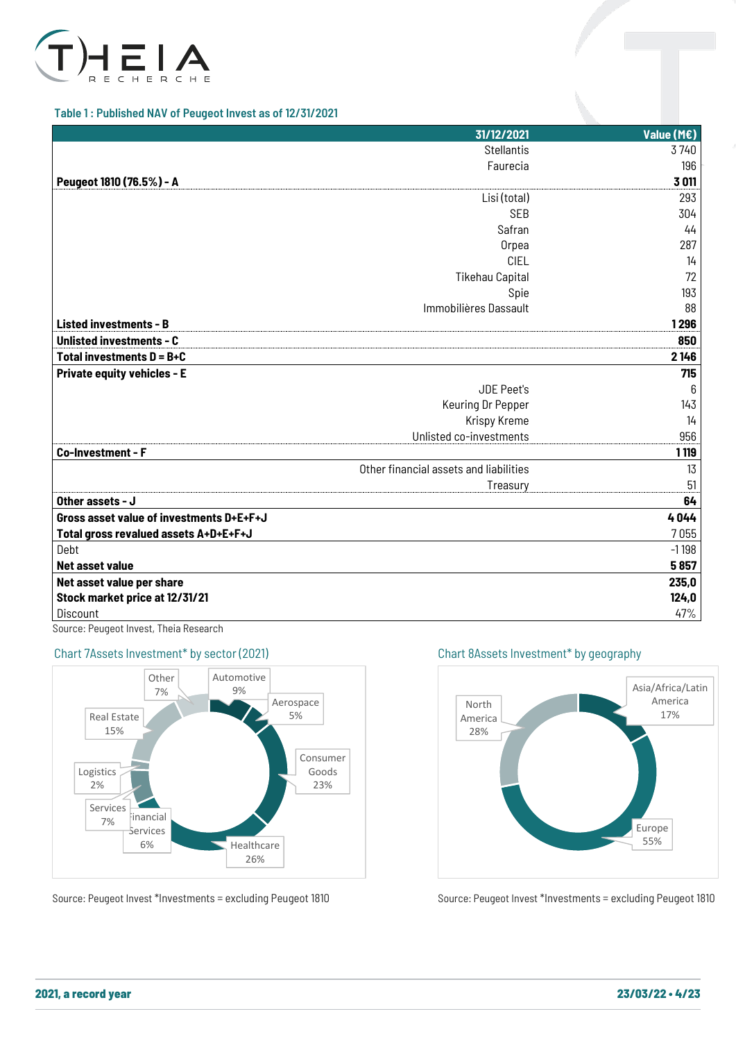

#### Table 1 : Published NAV of Peugeot Invest as of 12/31/2021

|                                                                                                                                                                                                                                                                                                                                                                                                                                                                                                                                                                                                                                                                                      | 31/12/2021        | Value (M€) |
|--------------------------------------------------------------------------------------------------------------------------------------------------------------------------------------------------------------------------------------------------------------------------------------------------------------------------------------------------------------------------------------------------------------------------------------------------------------------------------------------------------------------------------------------------------------------------------------------------------------------------------------------------------------------------------------|-------------------|------------|
|                                                                                                                                                                                                                                                                                                                                                                                                                                                                                                                                                                                                                                                                                      | <b>Stellantis</b> | 3740       |
|                                                                                                                                                                                                                                                                                                                                                                                                                                                                                                                                                                                                                                                                                      | Faurecia          | 196        |
| Peugeot 1810 (76.5%) - A<br>Lisi (total)<br><b>SEB</b><br>Safran<br>Orpea<br><b>CIEL</b><br><b>Tikehau Capital</b><br>Spie<br>Immobilières Dassault<br><b>Listed investments - B</b><br><b>Unlisted investments - C</b><br>Total investments $D = B + C$<br><b>Private equity vehicles - E</b><br><b>JDE Peet's</b><br>Keuring Dr Pepper<br><b>Krispy Kreme</b><br>Unlisted co-investments<br>Co-Investment - F<br>Other financial assets and liabilities<br>Treasury<br>Other assets - J<br>Gross asset value of investments D+E+F+J<br>Total gross revalued assets A+D+E+F+J<br>Debt<br>Net asset value<br>Net asset value per share<br>Stock market price at 12/31/21<br>Discount | 3011              |            |
|                                                                                                                                                                                                                                                                                                                                                                                                                                                                                                                                                                                                                                                                                      |                   | 293        |
|                                                                                                                                                                                                                                                                                                                                                                                                                                                                                                                                                                                                                                                                                      |                   | 304        |
|                                                                                                                                                                                                                                                                                                                                                                                                                                                                                                                                                                                                                                                                                      |                   | 44         |
|                                                                                                                                                                                                                                                                                                                                                                                                                                                                                                                                                                                                                                                                                      |                   | 287        |
|                                                                                                                                                                                                                                                                                                                                                                                                                                                                                                                                                                                                                                                                                      |                   | 14         |
|                                                                                                                                                                                                                                                                                                                                                                                                                                                                                                                                                                                                                                                                                      |                   | 72         |
|                                                                                                                                                                                                                                                                                                                                                                                                                                                                                                                                                                                                                                                                                      |                   | 193        |
|                                                                                                                                                                                                                                                                                                                                                                                                                                                                                                                                                                                                                                                                                      |                   | 88         |
|                                                                                                                                                                                                                                                                                                                                                                                                                                                                                                                                                                                                                                                                                      |                   | 1296       |
|                                                                                                                                                                                                                                                                                                                                                                                                                                                                                                                                                                                                                                                                                      |                   | 850        |
|                                                                                                                                                                                                                                                                                                                                                                                                                                                                                                                                                                                                                                                                                      |                   | 2146       |
|                                                                                                                                                                                                                                                                                                                                                                                                                                                                                                                                                                                                                                                                                      |                   | 715        |
|                                                                                                                                                                                                                                                                                                                                                                                                                                                                                                                                                                                                                                                                                      |                   | 6          |
|                                                                                                                                                                                                                                                                                                                                                                                                                                                                                                                                                                                                                                                                                      |                   | 143        |
|                                                                                                                                                                                                                                                                                                                                                                                                                                                                                                                                                                                                                                                                                      |                   | 14         |
|                                                                                                                                                                                                                                                                                                                                                                                                                                                                                                                                                                                                                                                                                      |                   | 956        |
|                                                                                                                                                                                                                                                                                                                                                                                                                                                                                                                                                                                                                                                                                      |                   | 1 1 19     |
|                                                                                                                                                                                                                                                                                                                                                                                                                                                                                                                                                                                                                                                                                      |                   | 13         |
|                                                                                                                                                                                                                                                                                                                                                                                                                                                                                                                                                                                                                                                                                      |                   | 51         |
|                                                                                                                                                                                                                                                                                                                                                                                                                                                                                                                                                                                                                                                                                      |                   | 64         |
|                                                                                                                                                                                                                                                                                                                                                                                                                                                                                                                                                                                                                                                                                      |                   | 4044       |
|                                                                                                                                                                                                                                                                                                                                                                                                                                                                                                                                                                                                                                                                                      |                   | 7055       |
|                                                                                                                                                                                                                                                                                                                                                                                                                                                                                                                                                                                                                                                                                      |                   | $-1198$    |
|                                                                                                                                                                                                                                                                                                                                                                                                                                                                                                                                                                                                                                                                                      |                   | 5857       |
|                                                                                                                                                                                                                                                                                                                                                                                                                                                                                                                                                                                                                                                                                      |                   | 235,0      |
|                                                                                                                                                                                                                                                                                                                                                                                                                                                                                                                                                                                                                                                                                      |                   | 124,0      |
|                                                                                                                                                                                                                                                                                                                                                                                                                                                                                                                                                                                                                                                                                      |                   | 47%        |

Source: Peugeot Invest, Theia Research

#### Chart 7Assets Investment\* by sector (2021)



Source: Peugeot Invest \*Investments = excluding Peugeot 1810

Chart 8Assets Investment\* by geography



Source: Peugeot Invest \*Investments = excluding Peugeot 1810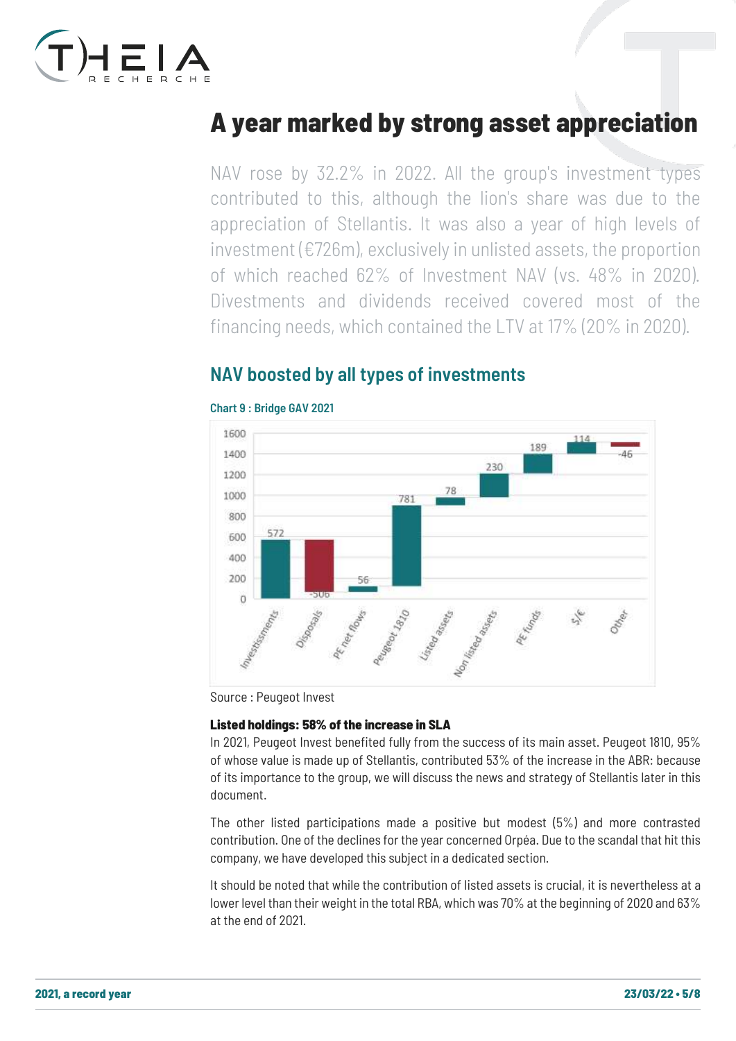

## <span id="page-4-0"></span>A year marked by strong asset appreciation

NAV rose by 32.2% in 2022. All the group's investment types contributed to this, although the lion's share was due to the appreciation of Stellantis. It was also a year of high levels of investment (€726m), exclusively in unlisted assets, the proportion of which reached 62% of Investment NAV (vs. 48% in 2020). Divestments and dividends received covered most of the financing needs, which contained the LTV at 17% (20% in 2020).

### <span id="page-4-1"></span>NAV boosted by all types of investments



#### Chart 9 : Bridge GAV 2021

Source : Peugeot Invest

#### Listed holdings: 58% of the increase in SLA

In 2021, Peugeot Invest benefited fully from the success of its main asset. Peugeot 1810, 95% of whose value is made up of Stellantis, contributed 53% of the increase in the ABR: because of its importance to the group, we will discuss the news and strategy of Stellantis later in this document.

The other listed participations made a positive but modest (5%) and more contrasted contribution. One of the declines for the year concerned Orpéa. Due to the scandal that hit this company, we have developed this subject in a dedicated section.

It should be noted that while the contribution of listed assets is crucial, it is nevertheless at a lower level than their weight in the total RBA, which was 70% at the beginning of 2020 and 63% at the end of 2021.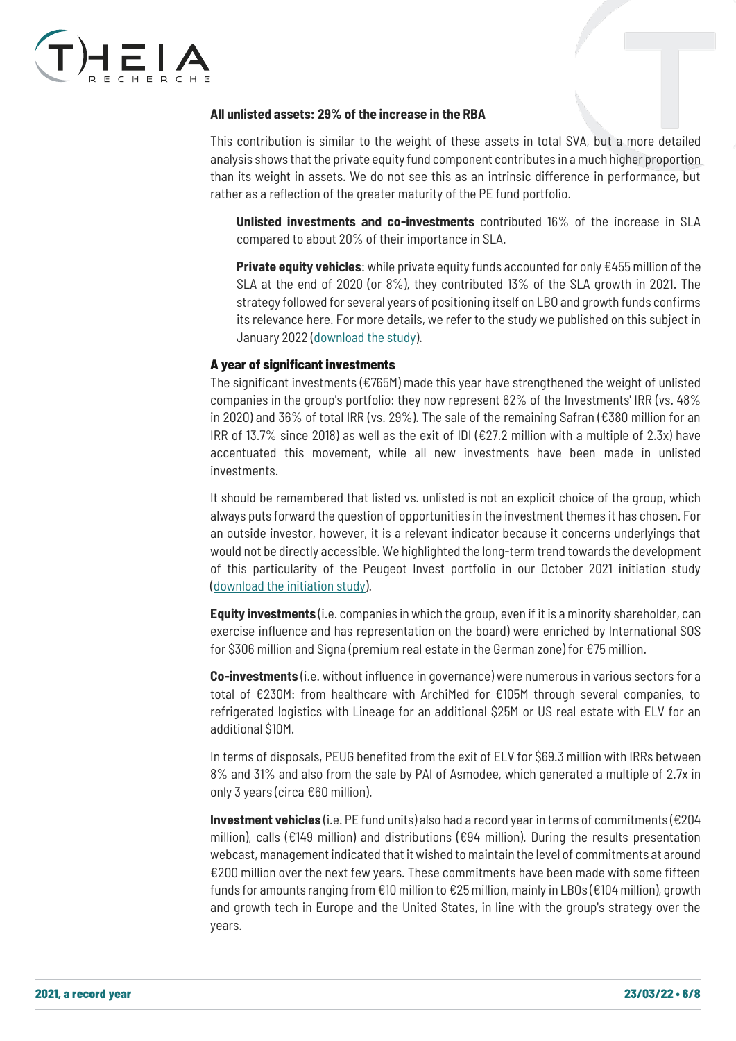

#### **All unlisted assets: 29% of the increase in the RBA**

This contribution is similar to the weight of these assets in total SVA, but a more detailed analysis shows that the private equity fund component contributes in a much higher proportion than its weight in assets. We do not see this as an intrinsic difference in performance, but rather as a reflection of the greater maturity of the PE fund portfolio.

**Unlisted investments and co-investments** contributed 16% of the increase in SLA compared to about 20% of their importance in SLA.

**Private equity vehicles**: while private equity funds accounted for only €455 million of the SLA at the end of 2020 (or 8%), they contributed 13% of the SLA growth in 2021. The strategy followed for several years of positioning itself on LBO and growth funds confirms its relevance here. For more details, we refer to the study we published on this subject in January 2022 [\(download the study\)](https://www.theia-recherche.com/wp-content/uploads/2022/01/Update-PE-Jan-22-BAT-VF.pdf).

#### A year of significant investments

The significant investments ( $\epsilon$ 765M) made this year have strengthened the weight of unlisted companies in the group's portfolio: they now represent 62% of the Investments' IRR (vs. 48% in 2020) and 36% of total IRR (vs. 29%). The sale of the remaining Safran (€380 million for an IRR of 13.7% since 2018) as well as the exit of IDI ( $\epsilon$ 27.2 million with a multiple of 2.3x) have accentuated this movement, while all new investments have been made in unlisted investments.

It should be remembered that listed vs. unlisted is not an explicit choice of the group, which always puts forward the question of opportunities in the investment themes it has chosen. For an outside investor, however, it is a relevant indicator because it concerns underlyings that would not be directly accessible. We highlighted the long-term trend towards the development of this particularity of the Peugeot Invest portfolio in our October 2021 initiation study [\(download the initiation study\)](https://www.theia-recherche.com/wp-content/uploads/2021/10/Etude-PI-2021-Version-BAT-VF.pdf).

**Equity investments** (i.e. companies in which the group, even if it is a minority shareholder, can exercise influence and has representation on the board) were enriched by International SOS for \$306 million and Signa (premium real estate in the German zone) for €75 million.

**Co-investments** (i.e. without influence in governance) were numerous in various sectors for a total of €230M: from healthcare with ArchiMed for €105M through several companies, to refrigerated logistics with Lineage for an additional \$25M or US real estate with ELV for an additional \$10M.

In terms of disposals, PEUG benefited from the exit of ELV for \$69.3 million with IRRs between 8% and 31% and also from the sale by PAI of Asmodee, which generated a multiple of 2.7x in only 3 years (circa €60 million).

**Investment vehicles** (i.e. PE fund units) also had a record year in terms of commitments (€204 million), calls (€149 million) and distributions (€94 million). During the results presentation webcast, management indicated that it wished to maintain the level of commitments at around €200 million over the next few years. These commitments have been made with some fifteen funds for amounts ranging from €10 million to €25 million, mainly in LBOs (€104 million), growth and growth tech in Europe and the United States, in line with the group's strategy over the years.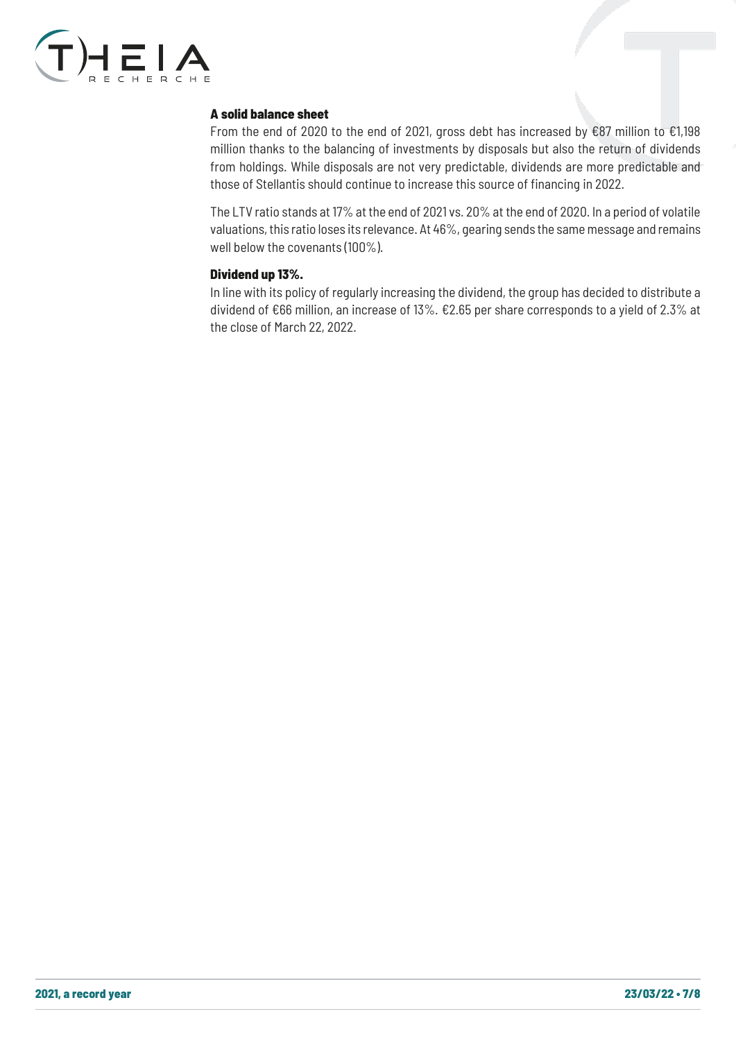

#### A solid balance sheet

From the end of 2020 to the end of 2021, gross debt has increased by €87 million to €1,198 million thanks to the balancing of investments by disposals but also the return of dividends from holdings. While disposals are not very predictable, dividends are more predictable and those of Stellantis should continue to increase this source of financing in 2022.

The LTV ratio stands at 17% at the end of 2021 vs. 20% at the end of 2020. In a period of volatile valuations, this ratio loses its relevance. At 46%, gearing sends the same message and remains well below the covenants (100%).

#### Dividend up 13%.

In line with its policy of regularly increasing the dividend, the group has decided to distribute a dividend of €66 million, an increase of 13%. €2.65 per share corresponds to a yield of 2.3% at the close of March 22, 2022.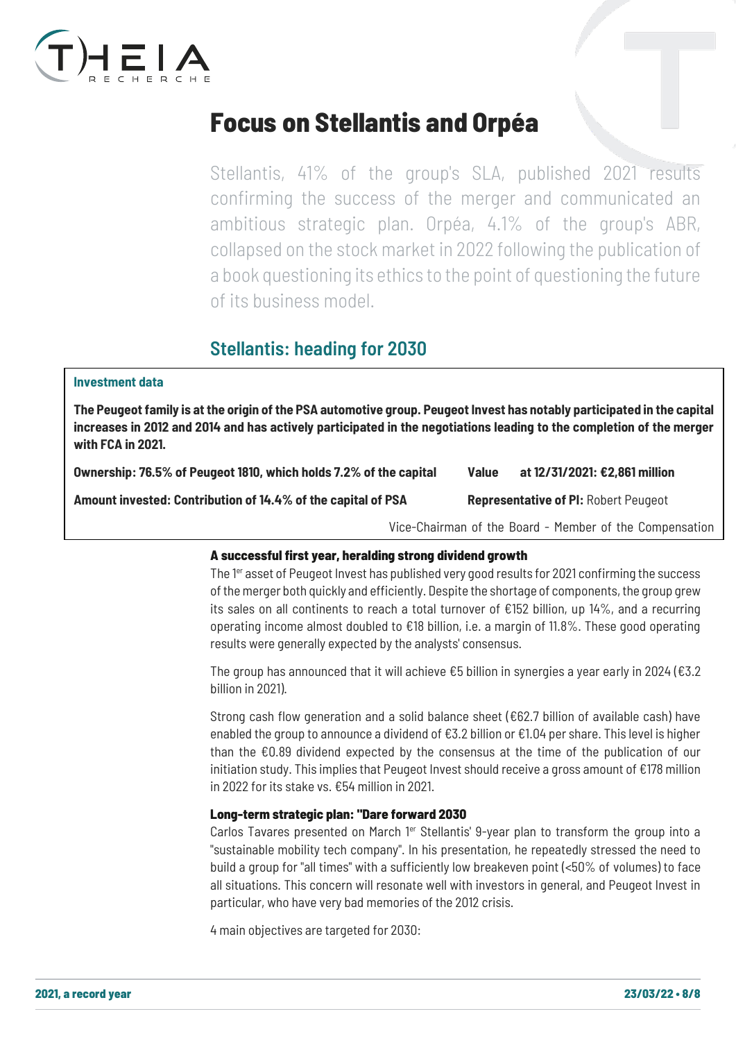

## <span id="page-7-0"></span>Focus on Stellantis and Orpéa

Stellantis, 41% of the group's SLA, published 2021 results confirming the success of the merger and communicated an ambitious strategic plan. Orpéa, 4.1% of the group's ABR, collapsed on the stock market in 2022 following the publication of a book questioning its ethics to the point of questioning the future of its business model.

### <span id="page-7-1"></span>Stellantis: heading for 2030

#### **Investment data**

**The Peugeot family is at the origin of the PSA automotive group. Peugeot Invest has notably participated in the capital increases in 2012 and 2014 and has actively participated in the negotiations leading to the completion of the merger with FCA in 2021.**

| Ownership: 76.5% of Peugeot 1810, which holds 7.2% of the capital | <b>Value</b> | at 12/31/2021: €2,861 million               |
|-------------------------------------------------------------------|--------------|---------------------------------------------|
| Amount invested: Contribution of 14.4% of the capital of PSA      |              | <b>Representative of PI: Robert Peugeot</b> |

Vice-Chairman of the Board - Member of the Compensation

#### A successful first year, heralding strong dividend growth Committee

The 1<sup>er</sup> asset of Peugeot Invest has published very good results for 2021 confirming the success of the merger both quickly and efficiently. Despite the shortage of components, the group grew its sales on all continents to reach a total turnover of  $E152$  billion, up 14%, and a recurring operating income almost doubled to €18 billion, i.e. a margin of 11.8%. These good operating results were generally expected by the analysts' consensus.

The group has announced that it will achieve  $\epsilon$ 5 billion in synergies a year early in 2024 ( $\epsilon$ 3.2 billion in 2021).

Strong cash flow generation and a solid balance sheet (€62.7 billion of available cash) have enabled the group to announce a dividend of €3.2 billion or €1.04 per share. This level is higher than the €0.89 dividend expected by the consensus at the time of the publication of our initiation study. This implies that Peugeot Invest should receive a gross amount of €178 million in 2022 for its stake vs. €54 million in 2021.

#### Long-term strategic plan: "Dare forward 2030

Carlos Tavares presented on March  $1<sup>er</sup>$  Stellantis' 9-year plan to transform the group into a "sustainable mobility tech company". In his presentation, he repeatedly stressed the need to build a group for "all times" with a sufficiently low breakeven point (<50% of volumes) to face all situations. This concern will resonate well with investors in general, and Peugeot Invest in particular, who have very bad memories of the 2012 crisis.

4 main objectives are targeted for 2030: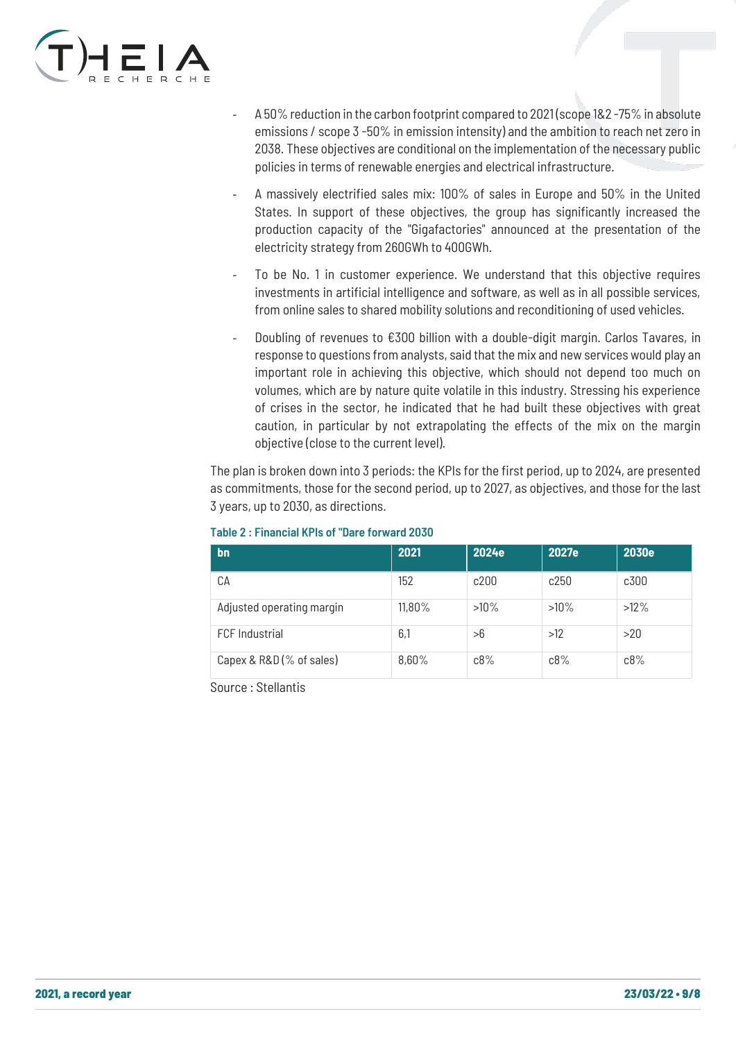

- A 50% reduction in the carbon footprint compared to 2021 (scope 1&2-75% in absolute emissions / scope 3 -50% in emission intensity) and the ambition to reach net zero in 2038. These objectives are conditional on the implementation of the necessary public policies in terms of renewable energies and electrical infrastructure.
- A massively electrified sales mix: 100% of sales in Europe and 50% in the United States. In support of these objectives, the group has significantly increased the production capacity of the "Gigafactories" announced at the presentation of the electricity strategy from 260GWh to 400GWh.
- To be No. 1 in customer experience. We understand that this objective requires investments in artificial intelligence and software, as well as in all possible services, from online sales to shared mobility solutions and reconditioning of used vehicles.
- Doubling of revenues to €300 billion with a double-digit margin. Carlos Tavares, in response to questions from analysts, said that the mix and new services would play an important role in achieving this objective, which should not depend too much on volumes, which are by nature quite volatile in this industry. Stressing his experience of crises in the sector, he indicated that he had built these objectives with great caution, in particular by not extrapolating the effects of the mix on the margin objective (close to the current level).

The plan is broken down into 3 periods: the KPIs for the first period, up to 2024, are presented as commitments, those for the second period, up to 2027, as objectives, and those for the last 3 years, up to 2030, as directions.

| bn                        | 2021   | 2024e   | 2027e   | 2030e   |
|---------------------------|--------|---------|---------|---------|
| CА                        | 152    | c200    | c250    | c300    |
| Adjusted operating margin | 11,80% | $>10\%$ | $>10\%$ | $>12\%$ |
| <b>FCF</b> Industrial     | 6,1    | >6      | >12     | >20     |
| Capex & R&D (% of sales)  | 8,60%  | c8%     | c8%     | c8%     |

#### Table 2 : Financial KPIs of "Dare forward 2030

Source : Stellantis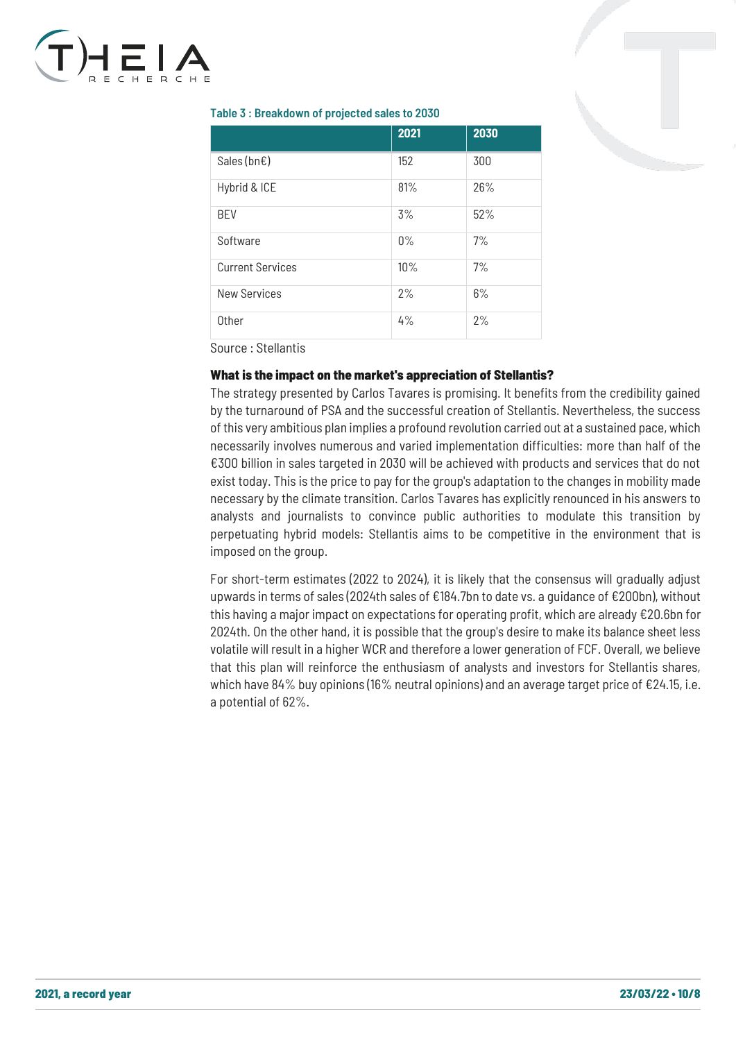

#### Table 3 : Breakdown of projected sales to 2030

|                         | 2021  | 2030 |
|-------------------------|-------|------|
| Sales (bn $\epsilon$ )  | 152   | 300  |
| Hybrid & ICE            | 81%   | 26%  |
| <b>BEV</b>              | 3%    | 52%  |
| Software                | $0\%$ | 7%   |
| <b>Current Services</b> | 10%   | 7%   |
| <b>New Services</b>     | 2%    | 6%   |
| Other                   | 4%    | 2%   |

Source : Stellantis

#### What is the impact on the market's appreciation of Stellantis?

The strategy presented by Carlos Tavares is promising. It benefits from the credibility gained by the turnaround of PSA and the successful creation of Stellantis. Nevertheless, the success of this very ambitious plan implies a profound revolution carried out at a sustained pace, which necessarily involves numerous and varied implementation difficulties: more than half of the €300 billion in sales targeted in 2030 will be achieved with products and services that do not exist today. This is the price to pay for the group's adaptation to the changes in mobility made necessary by the climate transition. Carlos Tavares has explicitly renounced in his answers to analysts and journalists to convince public authorities to modulate this transition by perpetuating hybrid models: Stellantis aims to be competitive in the environment that is imposed on the group.

For short-term estimates (2022 to 2024), it is likely that the consensus will gradually adjust upwards in terms of sales (2024th sales of €184.7bn to date vs. a guidance of €200bn), without this having a major impact on expectations for operating profit, which are already €20.6bn for 2024th. On the other hand, it is possible that the group's desire to make its balance sheet less volatile will result in a higher WCR and therefore a lower generation of FCF. Overall, we believe that this plan will reinforce the enthusiasm of analysts and investors for Stellantis shares, which have 84% buy opinions (16% neutral opinions) and an average target price of  $\epsilon$ 24.15, i.e. a potential of 62%.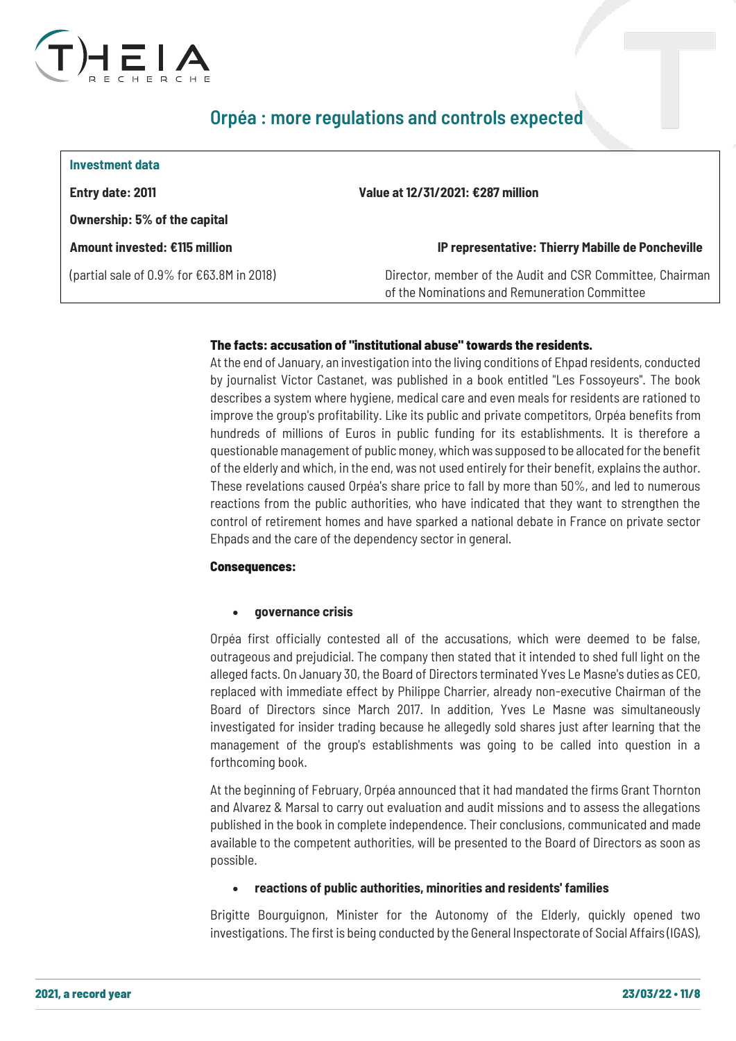

### <span id="page-10-0"></span>Orpéa : more regulations and controls expected

| Investment data                                     |                                                                                                            |
|-----------------------------------------------------|------------------------------------------------------------------------------------------------------------|
| Entry date: 2011                                    | Value at 12/31/2021: €287 million                                                                          |
| <b>Ownership: 5% of the capital</b>                 |                                                                                                            |
| Amount invested: €115 million                       | IP representative: Thierry Mabille de Poncheville                                                          |
| (partial sale of 0.9% for $\epsilon$ 63.8M in 2018) | Director, member of the Audit and CSR Committee, Chairman<br>of the Nominations and Remuneration Committee |

#### The facts: accusation of "institutional abuse" towards the residents.

At the end of January, an investigation into the living conditions of Ehpad residents, conducted by journalist Victor Castanet, was published in a book entitled "Les Fossoyeurs". The book describes a system where hygiene, medical care and even meals for residents are rationed to improve the group's profitability. Like its public and private competitors, Orpéa benefits from hundreds of millions of Euros in public funding for its establishments. It is therefore a questionable management of public money, which was supposed to be allocated for the benefit of the elderly and which, in the end, was not used entirely for their benefit, explains the author. These revelations caused Orpéa's share price to fall by more than 50%, and led to numerous reactions from the public authorities, who have indicated that they want to strengthen the control of retirement homes and have sparked a national debate in France on private sector Ehpads and the care of the dependency sector in general.

#### Consequences:

#### • **governance crisis**

Orpéa first officially contested all of the accusations, which were deemed to be false, outrageous and prejudicial. The company then stated that it intended to shed full light on the alleged facts. On January 30, the Board of Directors terminated Yves Le Masne's duties as CEO, replaced with immediate effect by Philippe Charrier, already non-executive Chairman of the Board of Directors since March 2017. In addition, Yves Le Masne was simultaneously investigated for insider trading because he [allegedly sold shares](https://www.midilibre.fr/2022/02/02/scandale-des-ehpad-lex-patron-dorpea-a-vendu-des-actions-avant-la-sortie-du-livre-choc-les-fossoyeurs-10083566.php) just after learning that the management of the group's establishments was going to be called into question in a forthcoming book.

At the beginning of February, Orpéa announced that it had mandated the firms Grant Thornton and Alvarez & Marsal to carry out evaluation and audit missions and to assess the allegations published in the book in complete independence. Their conclusions, communicated and made available to the competent authorities, will be presented to the Board of Directors as soon as possible.

#### • **reactions of public authorities, minorities and residents' families**

Brigitte Bourguignon, Minister for the Autonomy of the Elderly, quickly opened two investigations. The first is being conducted by the General Inspectorate of Social Affairs (IGAS),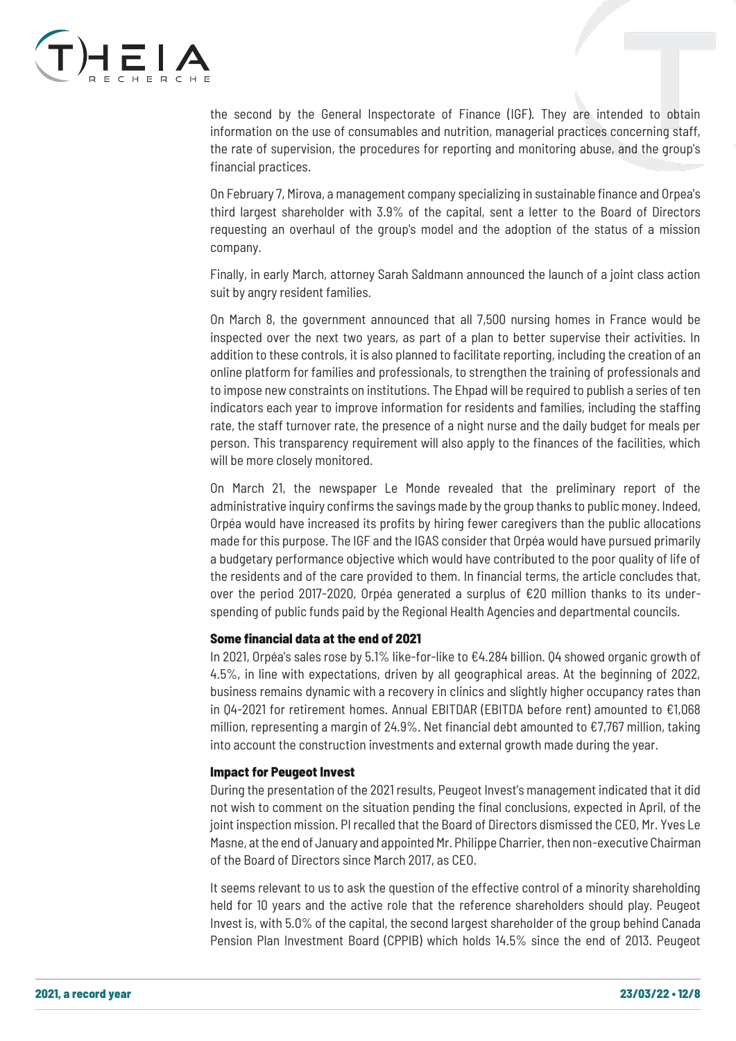

the second by the General Inspectorate of Finance (IGF). They are intended to obtain information on the use of consumables and nutrition, managerial practices concerning staff, the rate of supervision, the procedures for reporting and monitoring abuse, and the group's financial practices.

On February 7, Mirova, a management company specializing in sustainable finance and Orpea's third largest shareholder with 3.9% of the capital, sent a letter to the Board of Directors requesting an overhaul of the group's model and the adoption of the status of a mission company.

Finally, in early March, attorney Sarah Saldmann announced the launch of a joint class action suit by angry resident families.

On March 8, the government announced that all 7,500 nursing homes in France would be inspected over the next two years, as part of a plan to better supervise their activities. In addition to these controls, it is also planned to facilitate reporting, including the creation of an online platform for families and professionals, to strengthen the training of professionals and to impose new constraints on institutions. The Ehpad will be required to publish a series of ten indicators each year to improve information for residents and families, including the staffing rate, the staff turnover rate, the presence of a night nurse and the daily budget for meals per person. This transparency requirement will also apply to the finances of the facilities, which will be more closely monitored.

On March 21, the newspaper Le Monde revealed that the preliminary report of the administrative inquiry confirms the savings made by the group thanks to public money. Indeed, Orpéa would have increased its profits by hiring fewer caregivers than the public allocations made for this purpose. The IGF and the IGAS consider that Orpéa would have pursued primarily a budgetary performance objective which would have contributed to the poor quality of life of the residents and of the care provided to them. In financial terms, the article concludes that, over the period 2017-2020, Orpéa generated a surplus of €20 million thanks to its underspending of public funds paid by the Regional Health Agencies and departmental councils.

#### Some financial data at the end of 2021

In 2021, Orpéa's sales rose by 5.1% like-for-like to €4.284 billion. Q4 showed organic growth of 4.5%, in line with expectations, driven by all geographical areas. At the beginning of 2022, business remains dynamic with a recovery in clinics and slightly higher occupancy rates than in Q4-2021 for retirement homes. Annual EBITDAR (EBITDA before rent) amounted to €1,068 million, representing a margin of 24.9%. Net financial debt amounted to €7,767 million, taking into account the construction investments and external growth made during the year.

#### Impact for Peugeot Invest

During the presentation of the 2021 results, Peugeot Invest's management indicated that it did not wish to comment on the situation pending the final conclusions, expected in April, of the joint inspection mission. PI recalled that the Board of Directors dismissed the CEO, Mr. Yves Le Masne, at the end of January and appointed Mr. Philippe Charrier, then non-executive Chairman of the Board of Directors since March 2017, as CEO.

It seems relevant to us to ask the question of the effective control of a minority shareholding held for 10 years and the active role that the reference shareholders should play. Peugeot Invest is, with 5.0% of the capital, the second largest shareholder of the group behind Canada Pension Plan Investment Board (CPPIB) which holds 14.5% since the end of 2013. Peugeot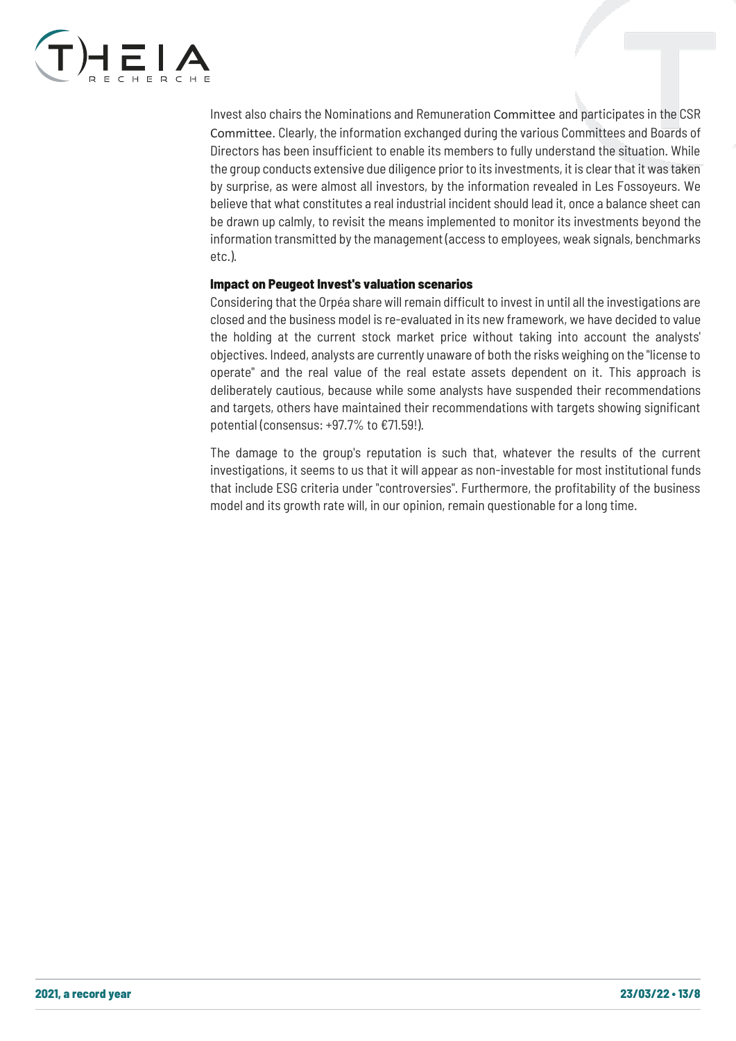

Invest also chairs the Nominations and Remuneration Committee and participates in the CSR Committee. Clearly, the information exchanged during the various Committees and Boards of Directors has been insufficient to enable its members to fully understand the situation. While the group conducts extensive due diligence prior to its investments, it is clear that it was taken by surprise, as were almost all investors, by the information revealed in Les Fossoyeurs. We believe that what constitutes a real industrial incident should lead it, once a balance sheet can be drawn up calmly, to revisit the means implemented to monitor its investments beyond the information transmitted by the management (access to employees, weak signals, benchmarks etc.).

#### Impact on Peugeot Invest's valuation scenarios

Considering that the Orpéa share will remain difficult to invest in until all the investigations are closed and the business model is re-evaluated in its new framework, we have decided to value the holding at the current stock market price without taking into account the analysts' objectives. Indeed, analysts are currently unaware of both the risks weighing on the "license to operate" and the real value of the real estate assets dependent on it. This approach is deliberately cautious, because while some analysts have suspended their recommendations and targets, others have maintained their recommendations with targets showing significant potential (consensus: +97.7% to €71.59!).

The damage to the group's reputation is such that, whatever the results of the current investigations, it seems to us that it will appear as non-investable for most institutional funds that include ESG criteria under "controversies". Furthermore, the profitability of the business model and its growth rate will, in our opinion, remain questionable for a long time.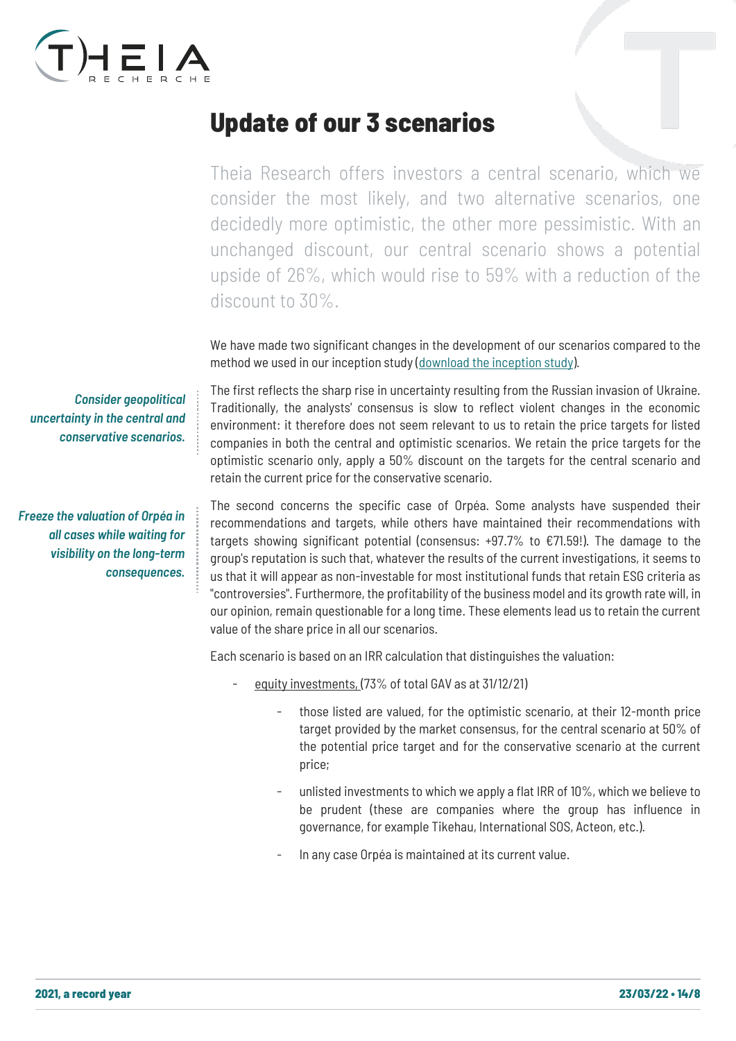

## <span id="page-13-0"></span>Update of our 3 scenarios

Theia Research offers investors a central scenario, which we consider the most likely, and two alternative scenarios, one decidedly more optimistic, the other more pessimistic. With an unchanged discount, our central scenario shows a potential upside of 26%, which would rise to 59% with a reduction of the discount to 30%.

We have made two significant changes in the development of our scenarios compared to the method we used in our inception study [\(download the inception study\)](https://www.theia-recherche.com/wp-content/uploads/2021/10/Etude-PI-2021-Version-BAT-VF.pdf).

The first reflects the sharp rise in uncertainty resulting from the Russian invasion of Ukraine. Traditionally, the analysts' consensus is slow to reflect violent changes in the economic environment: it therefore does not seem relevant to us to retain the price targets for listed companies in both the central and optimistic scenarios. We retain the price targets for the optimistic scenario only, apply a 50% discount on the targets for the central scenario and retain the current price for the conservative scenario.

The second concerns the specific case of Orpéa. Some analysts have suspended their recommendations and targets, while others have maintained their recommendations with targets showing significant potential (consensus:  $+97.7\%$  to  $\epsilon$ 71.59!). The damage to the group's reputation is such that, whatever the results of the current investigations, it seems to us that it will appear as non-investable for most institutional funds that retain ESG criteria as "controversies". Furthermore, the profitability of the business model and its growth rate will, in our opinion, remain questionable for a long time. These elements lead us to retain the current value of the share price in all our scenarios.

Each scenario is based on an IRR calculation that distinguishes the valuation:

- equity investments, (73% of total GAV as at 31/12/21)
	- those listed are valued, for the optimistic scenario, at their 12-month price target provided by the market consensus, for the central scenario at 50% of the potential price target and for the conservative scenario at the current price;
	- unlisted investments to which we apply a flat IRR of 10%, which we believe to be prudent (these are companies where the group has influence in governance, for example Tikehau, International SOS, Acteon, etc.).
	- In any case Orpéa is maintained at its current value.

*Consider geopolitical uncertainty in the central and conservative scenarios.*

*Freeze the valuation of Orpéa in all cases while waiting for visibility on the long-term consequences.*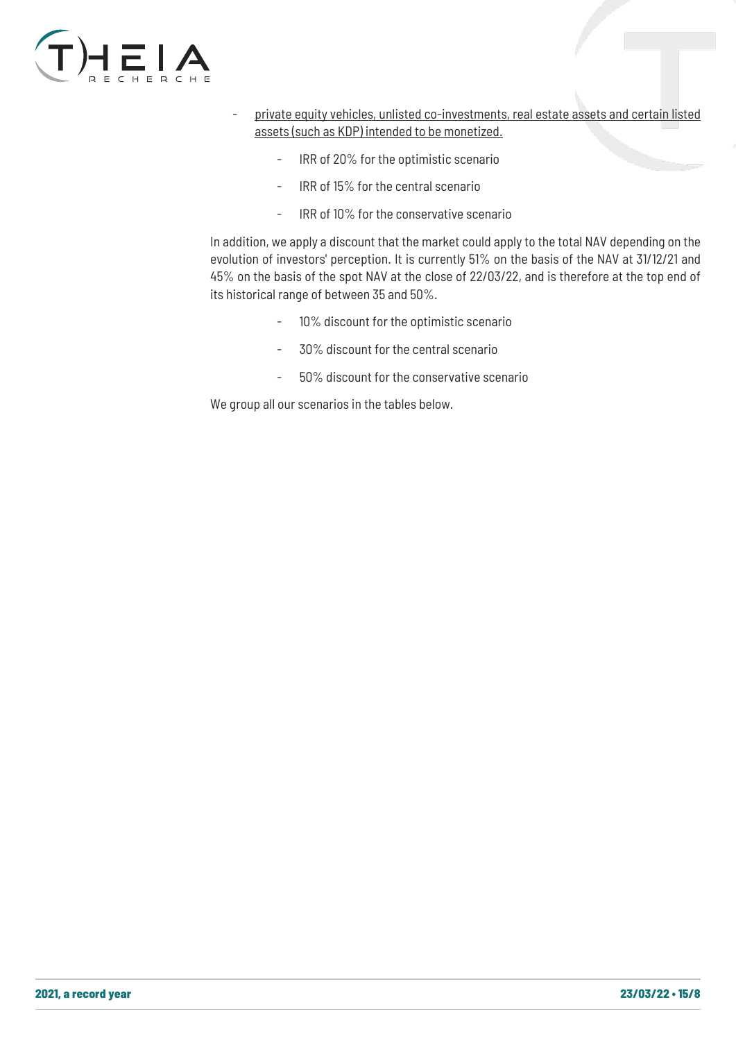

- private equity vehicles, unlisted co-investments, real estate assets and certain listed assets (such as KDP) intended to be monetized.
	- IRR of 20% for the optimistic scenario
	- IRR of 15% for the central scenario
	- IRR of 10% for the conservative scenario

In addition, we apply a discount that the market could apply to the total NAV depending on the evolution of investors' perception. It is currently 51% on the basis of the NAV at 31/12/21 and 45% on the basis of the spot NAV at the close of 22/03/22, and is therefore at the top end of its historical range of between 35 and 50%.

- 10% discount for the optimistic scenario
- 30% discount for the central scenario
- 50% discount for the conservative scenario

We group all our scenarios in the tables below.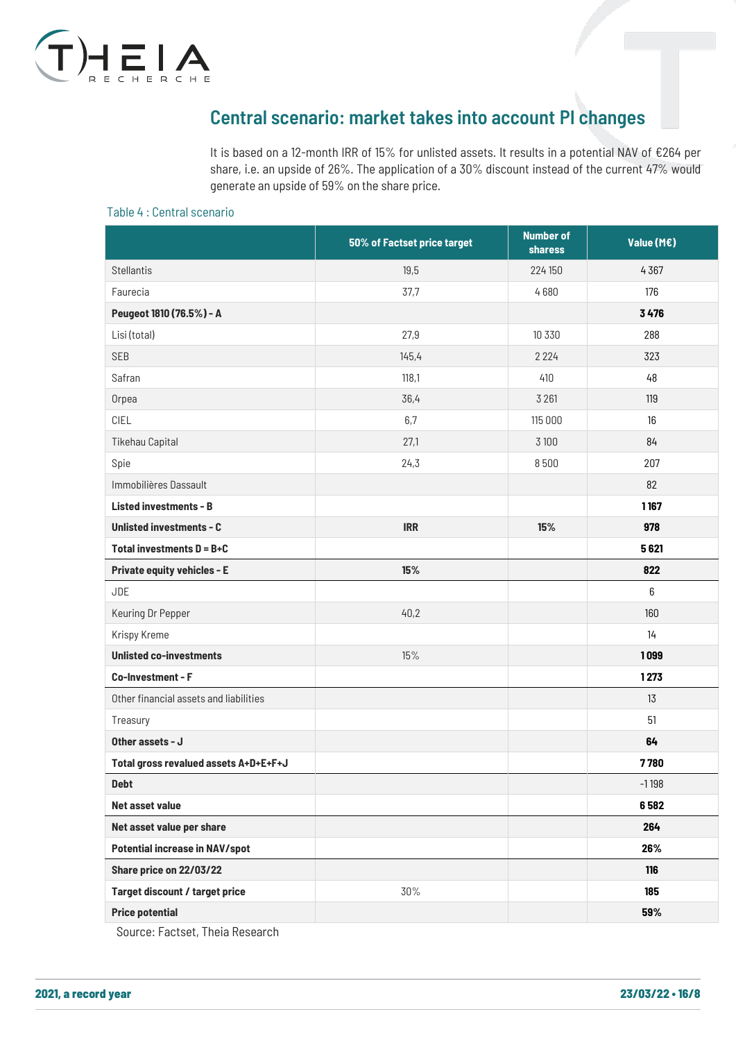

## <span id="page-15-0"></span>Central scenario: market takes into account PI changes

It is based on a 12-month IRR of 15% for unlisted assets. It results in a potential NAV of €264 per share, i.e. an upside of 26%. The application of a 30% discount instead of the current 47% would generate an upside of 59% on the share price.

#### Table 4 : Central scenario

|                                        | 50% of Factset price target | <b>Number of</b><br><b>sharess</b> | Value (M€) |
|----------------------------------------|-----------------------------|------------------------------------|------------|
| <b>Stellantis</b>                      | 19,5                        | 224 150                            | 4367       |
| Faurecia                               | 37,7                        | 4680                               | 176        |
| Peugeot 1810 (76.5%) - A               |                             |                                    | 3476       |
| Lisi (total)                           | 27,9                        | 10 330                             | 288        |
| <b>SEB</b>                             | 145,4                       | 2 2 2 4                            | 323        |
| Safran                                 | 118,1                       | 410                                | 48         |
| Orpea                                  | 36,4                        | 3 2 6 1                            | 119        |
| CIEL                                   | 6,7                         | 115 000                            | 16         |
| <b>Tikehau Capital</b>                 | 27,1                        | 3 1 0 0                            | 84         |
| Spie                                   | 24,3                        | 8500                               | 207        |
| Immobilières Dassault                  |                             |                                    | 82         |
| <b>Listed investments - B</b>          |                             |                                    | 1167       |
| <b>Unlisted investments - C</b>        | <b>IRR</b>                  | 15%                                | 978        |
| Total investments $D = B + C$          |                             |                                    | 5621       |
| <b>Private equity vehicles - E</b>     | 15%                         |                                    | 822        |
| <b>JDE</b>                             |                             |                                    | 6          |
| Keuring Dr Pepper                      | 40,2                        |                                    | 160        |
| Krispy Kreme                           |                             |                                    | 14         |
| <b>Unlisted co-investments</b>         | 15%                         |                                    | 1099       |
| Co-Investment - F                      |                             |                                    | 1273       |
| Other financial assets and liabilities |                             |                                    | 13         |
| Treasury                               |                             |                                    | 51         |
| Other assets - J                       |                             |                                    | 64         |
| Total gross revalued assets A+D+E+F+J  |                             |                                    | 7780       |
| <b>Debt</b>                            |                             |                                    | $-1198$    |
| Net asset value                        |                             |                                    | 6582       |
| Net asset value per share              |                             |                                    | 264        |
| <b>Potential increase in NAV/spot</b>  |                             |                                    | 26%        |
| Share price on 22/03/22                |                             |                                    | 116        |
| Target discount / target price         | 30%                         |                                    | 185        |
| <b>Price potential</b>                 |                             |                                    | 59%        |

Source: Factset, Theia Research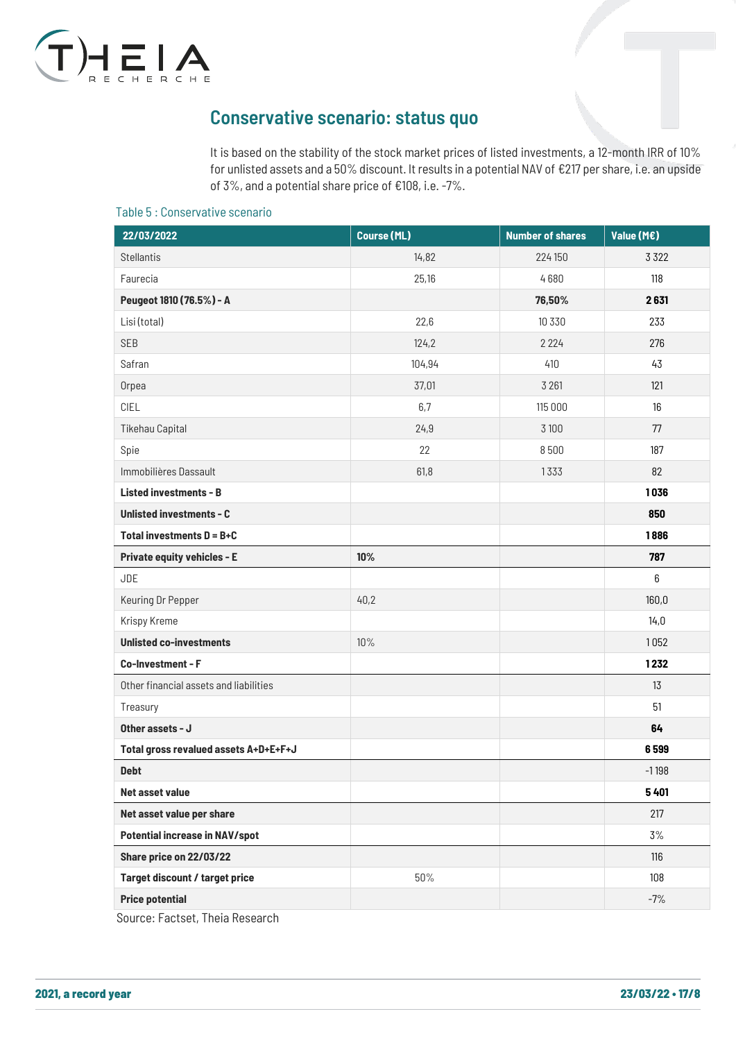

## <span id="page-16-0"></span>Conservative scenario: status quo

It is based on the stability of the stock market prices of listed investments, a 12-month IRR of 10% for unlisted assets and a 50% discount. It results in a potential NAV of €217 per share, i.e. an upside of 3%, and a potential share price of €108, i.e. -7%.

#### Table 5 : Conservative scenario

| 22/03/2022                             | <b>Course (ML)</b> | <b>Number of shares</b> | Value (M€) |
|----------------------------------------|--------------------|-------------------------|------------|
| <b>Stellantis</b>                      | 14,82              | 224 150                 | 3 3 2 2    |
| Faurecia                               | 25,16              | 4680                    | 118        |
| Peugeot 1810 (76.5%) - A               |                    | 76,50%                  | 2631       |
| Lisi (total)                           | 22,6               | 10 330                  | 233        |
| <b>SEB</b>                             | 124,2              | 2 2 2 4                 | 276        |
| Safran                                 | 104,94             | 410                     | 43         |
| Orpea                                  | 37,01              | 3 2 6 1                 | 121        |
| CIEL                                   | 6,7                | 115 000                 | 16         |
| <b>Tikehau Capital</b>                 | 24,9               | 3 100                   | 77         |
| Spie                                   | 22                 | 8500                    | 187        |
| Immobilières Dassault                  | 61,8               | 1333                    | 82         |
| <b>Listed investments - B</b>          |                    |                         | 1036       |
| <b>Unlisted investments - C</b>        |                    |                         | 850        |
| Total investments $D = B + C$          |                    |                         | 1886       |
| <b>Private equity vehicles - E</b>     | 10%                |                         | 787        |
| <b>JDE</b>                             |                    |                         | 6          |
| Keuring Dr Pepper                      | 40,2               |                         | 160,0      |
| Krispy Kreme                           |                    |                         | 14,0       |
| <b>Unlisted co-investments</b>         | 10%                |                         | 1052       |
| Co-Investment - F                      |                    |                         | 1232       |
| Other financial assets and liabilities |                    |                         | 13         |
| Treasury                               |                    |                         | 51         |
| Other assets - J                       |                    |                         | 64         |
| Total gross revalued assets A+D+E+F+J  |                    |                         | 6599       |
| <b>Debt</b>                            |                    |                         | $-1198$    |
| Net asset value                        |                    |                         | 5401       |
| Net asset value per share              |                    |                         | 217        |
| <b>Potential increase in NAV/spot</b>  |                    |                         | 3%         |
| Share price on 22/03/22                |                    |                         | 116        |
| Target discount / target price         | $50\%$             |                         | 108        |
| <b>Price potential</b>                 |                    |                         | $-7%$      |

Source: Factset, Theia Research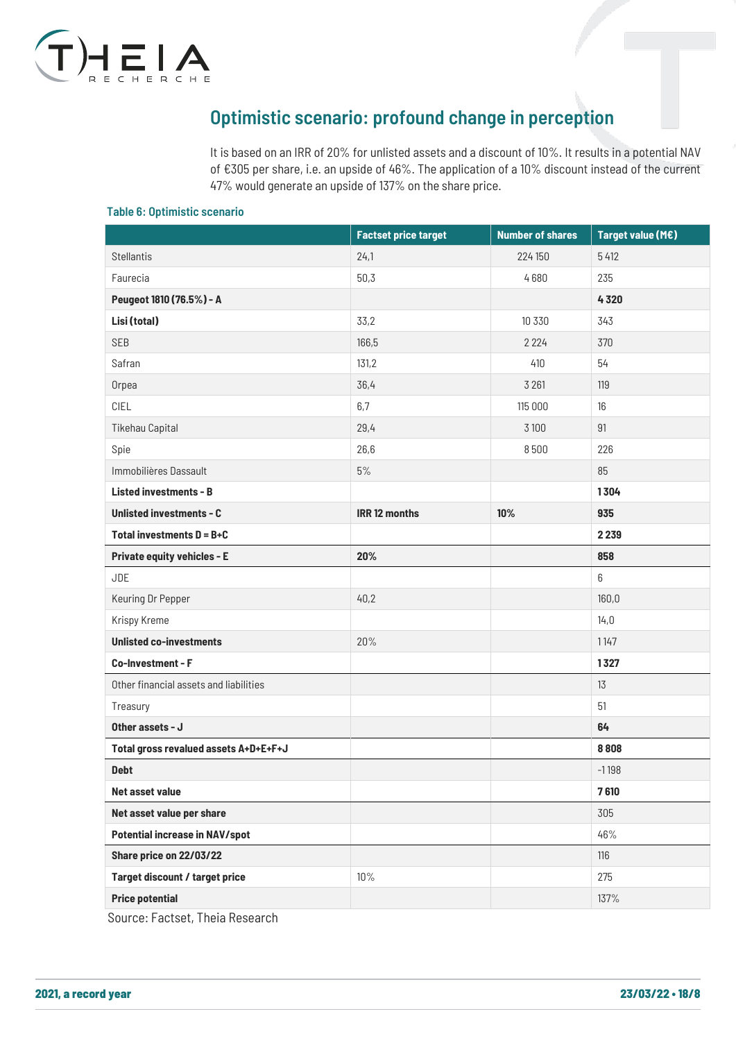

## <span id="page-17-0"></span>Optimistic scenario: profound change in perception

It is based on an IRR of 20% for unlisted assets and a discount of 10%. It results in a potential NAV of €305 per share, i.e. an upside of 46%. The application of a 10% discount instead of the current 47% would generate an upside of 137% on the share price.

#### Table 6: Optimistic scenario

| 24,1<br><b>Stellantis</b><br>224 150<br>5 4 1 2<br>Faurecia<br>50,3<br>4680<br>235<br>Peugeot 1810 (76.5%) - A<br>4320<br>Lisi (total)<br>33,2<br>343<br>10 330<br>SEB<br>166,5<br>370<br>2 2 2 4<br>54<br>Safran<br>131,2<br>410<br>36,4<br>3 2 6 1<br>119<br>Orpea<br>CIEL<br>6,7<br>16<br>115 000<br><b>Tikehau Capital</b><br>29,4<br>91<br>3 100<br>26,6<br>8500<br>226<br>Spie<br>Immobilières Dassault<br>$5%$<br>85<br><b>Listed investments - B</b><br>1304<br><b>IRR 12 months</b><br>10%<br><b>Unlisted investments - C</b><br>935<br>Total investments $D = B + C$<br>2 2 3 9<br>20%<br>858<br><b>Private equity vehicles - E</b><br><b>JDE</b><br>6<br>40,2<br>160,0<br>Keuring Dr Pepper<br>Krispy Kreme<br>14,0<br><b>Unlisted co-investments</b><br>20%<br>1147<br>Co-Investment - F<br>1327<br>Other financial assets and liabilities<br>13<br>51<br>Treasury<br>Other assets - J<br>64<br>Total gross revalued assets A+D+E+F+J<br>8808<br><b>Debt</b><br>$-1198$<br>7610<br><b>Net asset value</b><br>Net asset value per share<br>305<br><b>Potential increase in NAV/spot</b><br>46% | <b>Factset price target</b> | <b>Number of shares</b> | Target value (M€) |
|-----------------------------------------------------------------------------------------------------------------------------------------------------------------------------------------------------------------------------------------------------------------------------------------------------------------------------------------------------------------------------------------------------------------------------------------------------------------------------------------------------------------------------------------------------------------------------------------------------------------------------------------------------------------------------------------------------------------------------------------------------------------------------------------------------------------------------------------------------------------------------------------------------------------------------------------------------------------------------------------------------------------------------------------------------------------------------------------------------------|-----------------------------|-------------------------|-------------------|
|                                                                                                                                                                                                                                                                                                                                                                                                                                                                                                                                                                                                                                                                                                                                                                                                                                                                                                                                                                                                                                                                                                           |                             |                         |                   |
|                                                                                                                                                                                                                                                                                                                                                                                                                                                                                                                                                                                                                                                                                                                                                                                                                                                                                                                                                                                                                                                                                                           |                             |                         |                   |
|                                                                                                                                                                                                                                                                                                                                                                                                                                                                                                                                                                                                                                                                                                                                                                                                                                                                                                                                                                                                                                                                                                           |                             |                         |                   |
|                                                                                                                                                                                                                                                                                                                                                                                                                                                                                                                                                                                                                                                                                                                                                                                                                                                                                                                                                                                                                                                                                                           |                             |                         |                   |
|                                                                                                                                                                                                                                                                                                                                                                                                                                                                                                                                                                                                                                                                                                                                                                                                                                                                                                                                                                                                                                                                                                           |                             |                         |                   |
|                                                                                                                                                                                                                                                                                                                                                                                                                                                                                                                                                                                                                                                                                                                                                                                                                                                                                                                                                                                                                                                                                                           |                             |                         |                   |
|                                                                                                                                                                                                                                                                                                                                                                                                                                                                                                                                                                                                                                                                                                                                                                                                                                                                                                                                                                                                                                                                                                           |                             |                         |                   |
|                                                                                                                                                                                                                                                                                                                                                                                                                                                                                                                                                                                                                                                                                                                                                                                                                                                                                                                                                                                                                                                                                                           |                             |                         |                   |
|                                                                                                                                                                                                                                                                                                                                                                                                                                                                                                                                                                                                                                                                                                                                                                                                                                                                                                                                                                                                                                                                                                           |                             |                         |                   |
|                                                                                                                                                                                                                                                                                                                                                                                                                                                                                                                                                                                                                                                                                                                                                                                                                                                                                                                                                                                                                                                                                                           |                             |                         |                   |
|                                                                                                                                                                                                                                                                                                                                                                                                                                                                                                                                                                                                                                                                                                                                                                                                                                                                                                                                                                                                                                                                                                           |                             |                         |                   |
|                                                                                                                                                                                                                                                                                                                                                                                                                                                                                                                                                                                                                                                                                                                                                                                                                                                                                                                                                                                                                                                                                                           |                             |                         |                   |
|                                                                                                                                                                                                                                                                                                                                                                                                                                                                                                                                                                                                                                                                                                                                                                                                                                                                                                                                                                                                                                                                                                           |                             |                         |                   |
|                                                                                                                                                                                                                                                                                                                                                                                                                                                                                                                                                                                                                                                                                                                                                                                                                                                                                                                                                                                                                                                                                                           |                             |                         |                   |
|                                                                                                                                                                                                                                                                                                                                                                                                                                                                                                                                                                                                                                                                                                                                                                                                                                                                                                                                                                                                                                                                                                           |                             |                         |                   |
|                                                                                                                                                                                                                                                                                                                                                                                                                                                                                                                                                                                                                                                                                                                                                                                                                                                                                                                                                                                                                                                                                                           |                             |                         |                   |
|                                                                                                                                                                                                                                                                                                                                                                                                                                                                                                                                                                                                                                                                                                                                                                                                                                                                                                                                                                                                                                                                                                           |                             |                         |                   |
|                                                                                                                                                                                                                                                                                                                                                                                                                                                                                                                                                                                                                                                                                                                                                                                                                                                                                                                                                                                                                                                                                                           |                             |                         |                   |
|                                                                                                                                                                                                                                                                                                                                                                                                                                                                                                                                                                                                                                                                                                                                                                                                                                                                                                                                                                                                                                                                                                           |                             |                         |                   |
|                                                                                                                                                                                                                                                                                                                                                                                                                                                                                                                                                                                                                                                                                                                                                                                                                                                                                                                                                                                                                                                                                                           |                             |                         |                   |
|                                                                                                                                                                                                                                                                                                                                                                                                                                                                                                                                                                                                                                                                                                                                                                                                                                                                                                                                                                                                                                                                                                           |                             |                         |                   |
|                                                                                                                                                                                                                                                                                                                                                                                                                                                                                                                                                                                                                                                                                                                                                                                                                                                                                                                                                                                                                                                                                                           |                             |                         |                   |
|                                                                                                                                                                                                                                                                                                                                                                                                                                                                                                                                                                                                                                                                                                                                                                                                                                                                                                                                                                                                                                                                                                           |                             |                         |                   |
|                                                                                                                                                                                                                                                                                                                                                                                                                                                                                                                                                                                                                                                                                                                                                                                                                                                                                                                                                                                                                                                                                                           |                             |                         |                   |
|                                                                                                                                                                                                                                                                                                                                                                                                                                                                                                                                                                                                                                                                                                                                                                                                                                                                                                                                                                                                                                                                                                           |                             |                         |                   |
|                                                                                                                                                                                                                                                                                                                                                                                                                                                                                                                                                                                                                                                                                                                                                                                                                                                                                                                                                                                                                                                                                                           |                             |                         |                   |
|                                                                                                                                                                                                                                                                                                                                                                                                                                                                                                                                                                                                                                                                                                                                                                                                                                                                                                                                                                                                                                                                                                           |                             |                         |                   |
|                                                                                                                                                                                                                                                                                                                                                                                                                                                                                                                                                                                                                                                                                                                                                                                                                                                                                                                                                                                                                                                                                                           |                             |                         |                   |
| Share price on 22/03/22<br>116                                                                                                                                                                                                                                                                                                                                                                                                                                                                                                                                                                                                                                                                                                                                                                                                                                                                                                                                                                                                                                                                            |                             |                         |                   |
| Target discount / target price<br>$10\%$<br>275                                                                                                                                                                                                                                                                                                                                                                                                                                                                                                                                                                                                                                                                                                                                                                                                                                                                                                                                                                                                                                                           |                             |                         |                   |
| <b>Price potential</b><br>137%                                                                                                                                                                                                                                                                                                                                                                                                                                                                                                                                                                                                                                                                                                                                                                                                                                                                                                                                                                                                                                                                            |                             |                         |                   |

Source: Factset, Theia Research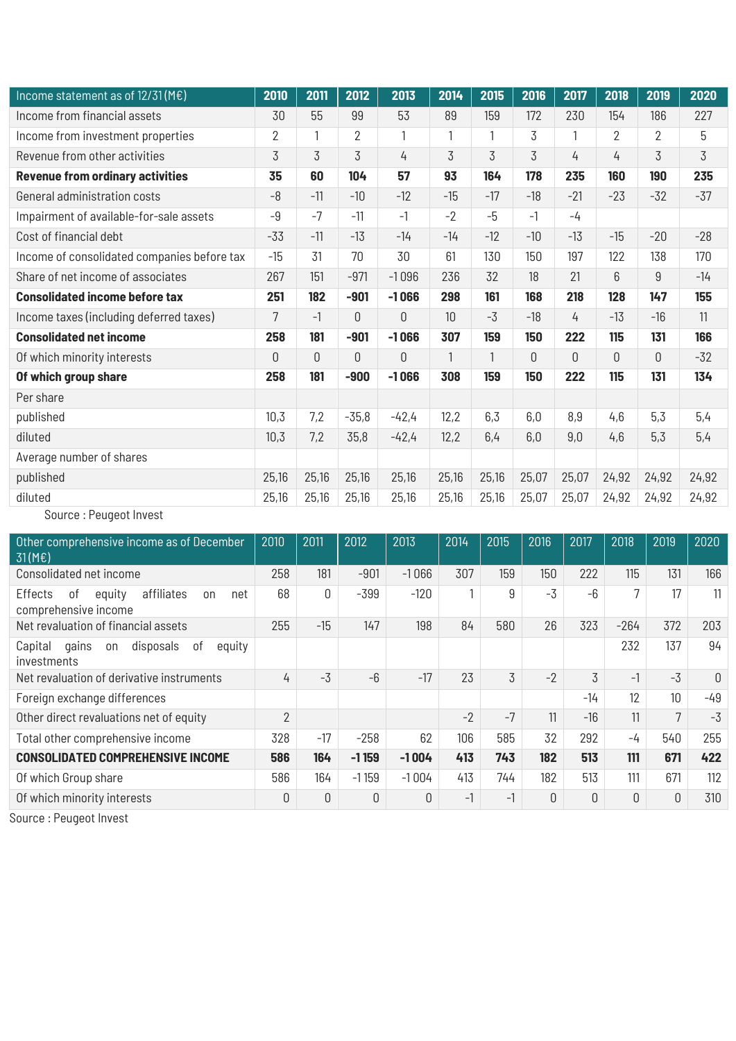| Income statement as of $12/31(ME)$          | 2010           | 2011  | 2012    | 2013    | 2014             | 2015  | 2016  | 2017     | 2018           | 2019           | 2020  |
|---------------------------------------------|----------------|-------|---------|---------|------------------|-------|-------|----------|----------------|----------------|-------|
| Income from financial assets                | 30             | 55    | 99      | 53      | 89               | 159   | 172   | 230      | 154            | 186            | 227   |
| Income from investment properties           | $\overline{2}$ |       | 2       | 1       |                  | 1     | 3     |          | $\overline{2}$ | $\overline{2}$ | 5     |
| Revenue from other activities               | 3              | 3     | 3       | 4       | 3                | 3     | 3     | 4        | 4              | 3              | 3     |
| <b>Revenue from ordinary activities</b>     | 35             | 60    | 104     | 57      | 93               | 164   | 178   | 235      | 160            | 190            | 235   |
| General administration costs                | $-8$           | $-11$ | $-10$   | $-12$   | $-15$            | $-17$ | $-18$ | $-21$    | $-23$          | $-32$          | $-37$ |
| Impairment of available-for-sale assets     | $-9$           | $-7$  | $-11$   | $-1$    | $-2$             | $-5$  | $-1$  | $-4$     |                |                |       |
| Cost of financial debt                      | $-33$          | $-11$ | $-13$   | $-14$   | $-14$            | $-12$ | $-10$ | $-13$    | $-15$          | $-20$          | $-28$ |
| Income of consolidated companies before tax | $-15$          | 31    | 70      | 30      | 61               | 130   | 150   | 197      | 122            | 138            | 170   |
| Share of net income of associates           | 267            | 151   | $-971$  | $-1096$ | 236              | 32    | 18    | 21       | 6              | 9              | $-14$ |
| <b>Consolidated income before tax</b>       | 251            | 182   | $-901$  | $-1066$ | 298              | 161   | 168   | 218      | 128            | 147            | 155   |
| Income taxes (including deferred taxes)     | $\overline{7}$ | $-1$  | 0       | 0       | 10 <sup>10</sup> | -3    | $-18$ | 4        | $-13$          | $-16$          | 11    |
| <b>Consolidated net income</b>              | 258            | 181   | $-901$  | $-1066$ | 307              | 159   | 150   | 222      | 115            | 131            | 166   |
| Of which minority interests                 | $\theta$       | 0     | 0       | 0       | 1                | 1     | 0     | $\Omega$ | $\Omega$       | 0              | $-32$ |
| Of which group share                        | 258            | 181   | $-900$  | $-1066$ | 308              | 159   | 150   | 222      | 115            | 131            | 134   |
| Per share                                   |                |       |         |         |                  |       |       |          |                |                |       |
| published                                   | 10,3           | 7,2   | $-35,8$ | $-42,4$ | 12,2             | 6,3   | 6,0   | 8,9      | 4,6            | 5,3            | 5,4   |
| diluted                                     | 10,3           | 7,2   | 35,8    | $-42,4$ | 12,2             | 6,4   | 6,0   | 9,0      | 4,6            | 5,3            | 5,4   |
| Average number of shares                    |                |       |         |         |                  |       |       |          |                |                |       |
| published                                   | 25,16          | 25,16 | 25,16   | 25,16   | 25,16            | 25,16 | 25,07 | 25,07    | 24,92          | 24,92          | 24,92 |
| diluted                                     | 25,16          | 25,16 | 25,16   | 25,16   | 25,16            | 25,16 | 25,07 | 25,07    | 24,92          | 24,92          | 24,92 |
| Caussa : Daugast Invast                     |                |       |         |         |                  |       |       |          |                |                |       |

Source : Peugeot Invest

| 2010           | 2011     | 2012        | 2013         | 2014 | 2015 | 2016     | 2017     | 2018   | 2019     | 2020     |
|----------------|----------|-------------|--------------|------|------|----------|----------|--------|----------|----------|
| 258            | 181      | $-901$      | $-1066$      | 307  | 159  | 150      | 222      | 115    | 131      | 166      |
| 68             | 0        | $-399$      | $-120$       | 1    | 9    | $-3$     | $-6$     | 7      | 17       | 11       |
| 255            | $-15$    | 147         | 198          | 84   | 580  | 26       | 323      | $-264$ | 372      | 203      |
|                |          |             |              |      |      |          |          | 232    | 137      | 94       |
| 4              | $-3$     | $-6$        | $-17$        | 23   | 3    | $-2$     | 3        | $-1$   | $-3$     | $\Omega$ |
|                |          |             |              |      |      |          | $-14$    | 12     | 10       | -49      |
| $\overline{2}$ |          |             |              | $-2$ | $-7$ | 11       | $-16$    | 11     | 7        | $-3$     |
| 328            | $-17$    | $-258$      | 62           | 106  | 585  | 32       | 292      | $-4$   | 540      | 255      |
| 586            | 164      | $-1159$     | $-1004$      | 413  | 743  | 182      | 513      | 111    | 671      | 422      |
| 586            | 164      | $-1159$     | $-1004$      | 413  | 744  | 182      | 513      | 111    | 671      | 112      |
| 0              | $\theta$ | $\mathbf 0$ | $\mathbf{0}$ | $-1$ | $-1$ | $\Omega$ | $\Omega$ | 0      | $\theta$ | 310      |
|                |          |             |              |      |      |          |          |        |          |          |

Source : Peugeot Invest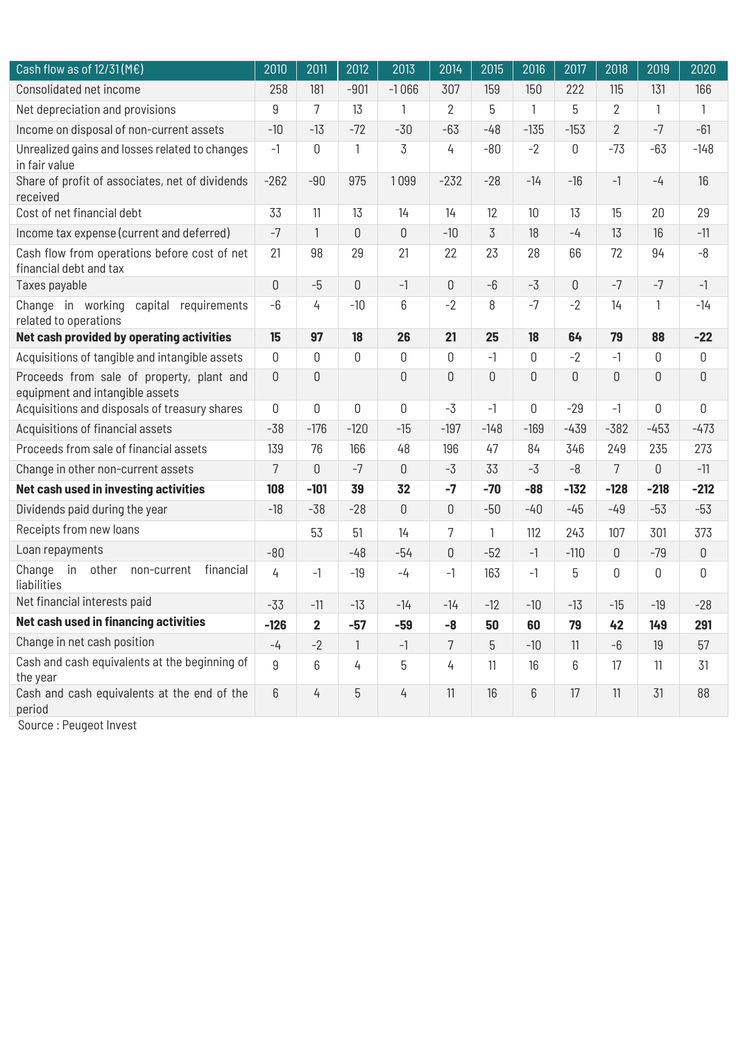| Cash flow as of $12/31$ (ME)                                                 | 2010           | 2011                    | 2012         | 2013           | 2014           | 2015        | 2016           | 2017   | 2018           | 2019           | 2020         |
|------------------------------------------------------------------------------|----------------|-------------------------|--------------|----------------|----------------|-------------|----------------|--------|----------------|----------------|--------------|
| Consolidated net income                                                      | 258            | 181                     | $-901$       | $-1066$        | 307            | 159         | 150            | 222    | 115            | 131            | 166          |
| Net depreciation and provisions                                              | 9              | $\overline{7}$          | 13           | $\mathbf{1}$   | $\overline{2}$ | 5           | $\mathbf{1}$   | 5      | $\overline{2}$ | $\mathbf{1}$   | $\mathbf{1}$ |
| Income on disposal of non-current assets                                     | $-10$          | $-13$                   | $-72$        | $-30$          | $-63$          | $-48$       | $-135$         | $-153$ | $\overline{2}$ | $-7$           | $-61$        |
| Unrealized gains and losses related to changes<br>in fair value              | $-1$           | 0                       | $\mathbf{1}$ | 3              | 4              | $-80$       | $-2$           | 0      | $-73$          | $-63$          | $-148$       |
| Share of profit of associates, net of dividends<br>received                  | $-262$         | $-90$                   | 975          | 1099           | $-232$         | $-28$       | $-14$          | $-16$  | $-1$           | $-4$           | 16           |
| Cost of net financial debt                                                   | 33             | 11                      | 13           | 14             | 14             | 12          | 10             | 13     | 15             | 20             | 29           |
| Income tax expense (current and deferred)                                    | $-7$           | $\mathbf{1}$            | 0            | $\overline{0}$ | $-10$          | 3           | 18             | $-4$   | 13             | 16             | $-11$        |
| Cash flow from operations before cost of net<br>financial debt and tax       | 21             | 98                      | 29           | 21             | 22             | 23          | 28             | 66     | 72             | 94             | $-8$         |
| Taxes payable                                                                | $\overline{0}$ | $-5$                    | 0            | $-1$           | $\mathbf 0$    | $-6$        | $-3$           | 0      | $-7$           | $-7$           | $-1$         |
| Change in working capital requirements<br>related to operations              | $-6$           | 4                       | $-10$        | 6              | $-2$           | 8           | $-7$           | $-2$   | 14             | 1              | $-14$        |
| Net cash provided by operating activities                                    | 15             | 97                      | 18           | 26             | 21             | 25          | 18             | 64     | 79             | 88             | $-22$        |
| Acquisitions of tangible and intangible assets                               | $\mathbb O$    | 0                       | 0            | 0              | 0              | $-1$        | $\mathbf 0$    | $-2$   | $-1$           | 0              | 0            |
| Proceeds from sale of property, plant and<br>equipment and intangible assets | $\overline{0}$ | 0                       |              | $\overline{0}$ | 0              | $\mathbf 0$ | $\overline{0}$ | 0      | $\mathbf{0}$   | $\overline{0}$ | $\mathbf 0$  |
| Acquisitions and disposals of treasury shares                                | $\mathbf 0$    | 0                       | 0            | 0              | $-3$           | $-1$        | 0              | $-29$  | $-1$           | 0              | 0            |
| Acquisitions of financial assets                                             | $-38$          | $-176$                  | $-120$       | $-15$          | $-197$         | $-148$      | $-169$         | $-439$ | $-382$         | $-453$         | $-473$       |
| Proceeds from sale of financial assets                                       | 139            | 76                      | 166          | 48             | 196            | 47          | 84             | 346    | 249            | 235            | 273          |
| Change in other non-current assets                                           | 7              | 0                       | $-7$         | 0              | $-3$           | 33          | -3             | $-8$   | 7              | 0              | $-11$        |
| Net cash used in investing activities                                        | 108            | $-101$                  | 39           | 32             | $-7$           | $-70$       | $-88$          | $-132$ | $-128$         | $-218$         | $-212$       |
| Dividends paid during the year                                               | $-18$          | $-38$                   | $-28$        | $\overline{0}$ | 0              | $-50$       | $-40$          | $-45$  | $-49$          | $-53$          | $-53$        |
| Receipts from new loans                                                      |                | 53                      | 51           | 14             | 7              | 1           | 112            | 243    | 107            | 301            | 373          |
| Loan repayments                                                              | $-80$          |                         | $-48$        | $-54$          | 0              | $-52$       | $-1$           | $-110$ | $\mathbf 0$    | $-79$          | 0            |
| in<br>other<br>financial<br>Change<br>non-current<br>liabilities             | 4              | $-1$                    | $-19$        | $-4$           | $-1$           | 163         | $-1$           | 5      | 0              | $\mathbb O$    | 0            |
| Net financial interests paid                                                 | $-33$          | $-11$                   | $-13$        | $-14$          | $-14$          | $-12$       | $-10$          | $-13$  | $-15$          | $-19$          | $-28$        |
| Net cash used in financing activities                                        | $-126$         | $\overline{\mathbf{2}}$ | $-57$        | $-59$          | -8             | 50          | 60             | 79     | 42             | 149            | 291          |
| Change in net cash position                                                  | $-4$           | $-2$                    | $\mathbf{1}$ | $-1$           | 7              | 5           | $-10$          | 11     | -6             | 19             | 57           |
| Cash and cash equivalents at the beginning of<br>the year                    | 9              | 6                       | 4            | 5              | 4              | 11          | 16             | 6      | 17             | 11             | 31           |
| Cash and cash equivalents at the end of the<br>period                        | 6              | 4                       | 5            | 4              | 11             | 16          | 6              | 17     | 11             | 31             | 88           |

Source : Peugeot Invest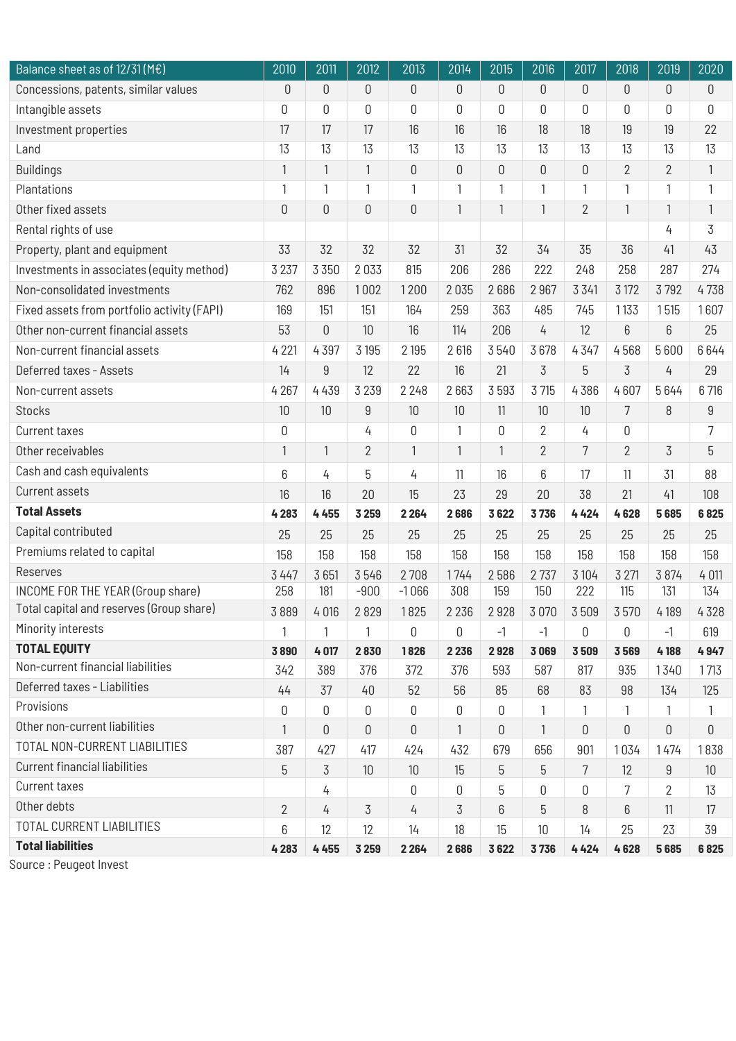| Balance sheet as of $12/31(ME)$             | 2010             | 2011           | 2012           | 2013         | 2014             | 2015           | 2016           | 2017           | 2018           | 2019           | 2020           |
|---------------------------------------------|------------------|----------------|----------------|--------------|------------------|----------------|----------------|----------------|----------------|----------------|----------------|
| Concessions, patents, similar values        | $\theta$         | $\mathbb O$    | 0              | $\mathbb O$  | 0                | 0              | $\mathbf 0$    | $\theta$       | $\mathbf 0$    | $\mathbf 0$    | 0              |
| Intangible assets                           | 0                | 0              | 0              | $\mathbb O$  | $\boldsymbol{0}$ | 0              | 0              | 0              | 0              | 0              | 0              |
| Investment properties                       | 17               | 17             | 17             | 16           | 16               | 16             | 18             | 18             | 19             | 19             | 22             |
| Land                                        | 13               | 13             | 13             | 13           | 13               | 13             | 13             | 13             | 13             | 13             | 13             |
| <b>Buildings</b>                            | $\mathbf{1}$     | $\mathbf{1}$   | $\mathbf{1}$   | $\mathsf 0$  | 0                | $\overline{0}$ | 0              | $\mathbf 0$    | $\overline{2}$ | $\overline{2}$ | $\mathbf{1}$   |
| Plantations                                 | 1                | $\mathbf{1}$   | 1              | 1            | 1                | $\mathbf{1}$   | 1              | 1              | 1              | 1              | 1              |
| Other fixed assets                          | $\boldsymbol{0}$ | $\mathbb O$    | 0              | $\mathbb O$  | $\mathbf{1}$     | $\mathbf{1}$   | 1              | $\overline{2}$ | 1              | $\mathbf{1}$   | $\mathbf{1}$   |
| Rental rights of use                        |                  |                |                |              |                  |                |                |                |                | 4              | $\overline{3}$ |
| Property, plant and equipment               | 33               | 32             | 32             | 32           | 31               | 32             | 34             | 35             | 36             | 41             | 43             |
| Investments in associates (equity method)   | 3 2 3 7          | 3 3 5 0        | 2033           | 815          | 206              | 286            | 222            | 248            | 258            | 287            | 274            |
| Non-consolidated investments                | 762              | 896            | 1002           | 1200         | 2035             | 2686           | 2967           | 3 3 4 1        | 3 1 7 2        | 3792           | 4738           |
| Fixed assets from portfolio activity (FAPI) | 169              | 151            | 151            | 164          | 259              | 363            | 485            | 745            | 1133           | 1515           | 1607           |
| Other non-current financial assets          | 53               | $\mathsf 0$    | 10             | 16           | 114              | 206            | 4              | 12             | 6              | 6              | 25             |
| Non-current financial assets                | 4 2 21           | 4397           | 3 1 9 5        | 2 1 9 5      | 2616             | 3540           | 3678           | 4347           | 4568           | 5600           | 6644           |
| Deferred taxes - Assets                     | 14               | $9\,$          | 12             | 22           | 16               | 21             | 3              | 5              | 3              | 4              | 29             |
| Non-current assets                          | 4 2 6 7          | 4 4 3 9        | 3 2 3 9        | 2 2 4 8      | 2663             | 3593           | 3 7 15         | 4386           | 4607           | 5644           | 6 716          |
| <b>Stocks</b>                               | 10               | 10             | 9              | 10           | 10               | 11             | 10             | 10             | 7              | 8              | 9              |
| <b>Current taxes</b>                        | $\boldsymbol{0}$ |                | 4              | $\mathbf 0$  | $\mathbf{1}$     | 0              | $\overline{2}$ | 4              | 0              |                | 7              |
| Other receivables                           | $\mathbf{1}$     | $\mathbf{1}$   | $\overline{2}$ | $\mathbf{1}$ | $\mathbf{1}$     | $\mathbf{1}$   | $\overline{2}$ | 7              | $\overline{2}$ | 3              | 5              |
| Cash and cash equivalents                   | 6                | 4              | 5              | 4            | 11               | 16             | 6              | 17             | 11             | 31             | 88             |
| <b>Current assets</b>                       | 16               | 16             | 20             | 15           | 23               | 29             | 20             | 38             | 21             | 41             | 108            |
| <b>Total Assets</b>                         | 4283             | 4 4 5 5        | 3 2 5 9        | 2 2 6 4      | 2686             | 3622           | 3736           | 4424           | 4628           | 5685           | 6825           |
| Capital contributed                         | 25               | 25             | 25             | 25           | 25               | 25             | 25             | 25             | 25             | 25             | 25             |
| Premiums related to capital                 | 158              | 158            | 158            | 158          | 158              | 158            | 158            | 158            | 158            | 158            | 158            |
| Reserves                                    | 3 4 4 7          | 3651           | 3546           | 2708         | 1744             | 2586           | 2737           | 3 104          | 3 2 7 1        | 3 8 7 4        | 4 0 11         |
| INCOME FOR THE YEAR (Group share)           | 258              | 181            | $-900$         | $-1066$      | 308              | 159            | 150            | 222            | 115            | 131            | 134            |
| Total capital and reserves (Group share)    | 3889             | 4 0 16         | 2829           | 1825         | 2 2 3 6          | 2928           | 3070           | 3509           | 3570           | 4 1 8 9        | 4328           |
| Minority interests                          | 1                | 1              |                | 0            | 0                | $-1$           | $-1$           | 0              | 0              | $-1$           | 619            |
| <b>TOTAL EQUITY</b>                         | 3890             | 4017           | 2830           | 1826         | 2 2 3 6          | 2928           | 3069           | 3509           | 3569           | 4 188          | 4947           |
| Non-current financial liabilities           | 342              | 389            | 376            | 372          | 376              | 593            | 587            | 817            | 935            | 1340           | 1713           |
| Deferred taxes - Liabilities                | 44               | 37             | 40             | 52           | 56               | 85             | 68             | 83             | 98             | 134            | 125            |
| Provisions                                  | 0                | $\mathbb O$    | 0              | $\mathbb O$  | 0                | 0              | 1              | 1              | 1              | 1              | 1              |
| Other non-current liabilities               | 1                | $\mathsf 0$    | 0              | 0            | 1                | 0              | 1              | $\mathbb O$    | 0              | 0              | $\mathsf 0$    |
| TOTAL NON-CURRENT LIABILITIES               | 387              | 427            | 417            | 424          | 432              | 679            | 656            | 901            | 1034           | 1474           | 1838           |
| <b>Current financial liabilities</b>        | 5                | $\overline{3}$ | 10             | 10           | 15               | 5              | 5              | 7              | 12             | 9              | 10             |
| Current taxes                               |                  | 4              |                | 0            | $\mathbf 0$      | 5              | 0              | 0              | 7              | 2              | 13             |
| Other debts                                 | $\overline{2}$   | $\overline{4}$ | 3              | 4            | 3                | 6              | 5              | 8              | 6              | 11             | 17             |
| TOTAL CURRENT LIABILITIES                   | 6                | 12             | 12             | 14           | 18               | 15             | 10             | 14             | 25             | 23             | 39             |
| <b>Total liabilities</b>                    | 4 2 8 3          | 4 4 5 5        | 3 2 5 9        | 2 2 6 4      | 2686             | 3622           | 3736           | 4424           | 4628           | 5685           | 6825           |

Source : Peugeot Invest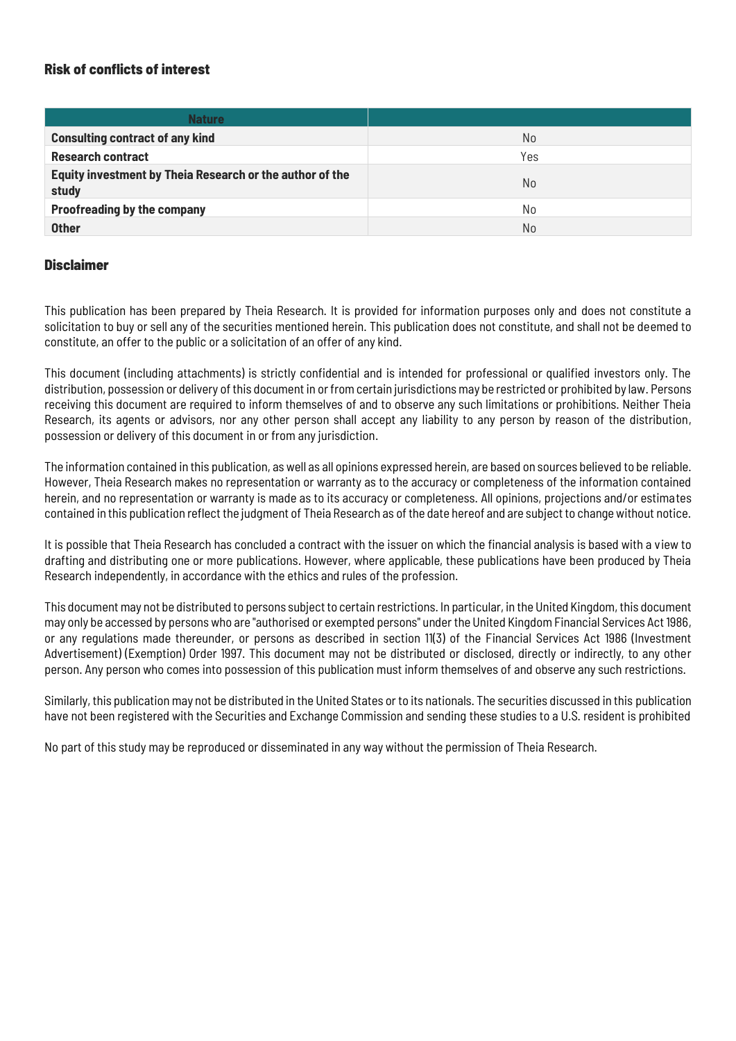#### <span id="page-21-0"></span>Risk of conflicts of interest

| <b>Nature</b>                                                     |                |
|-------------------------------------------------------------------|----------------|
| <b>Consulting contract of any kind</b>                            | N <sub>0</sub> |
| <b>Research contract</b>                                          | Yes            |
| Equity investment by Theia Research or the author of the<br>study | N <sub>0</sub> |
| <b>Proofreading by the company</b>                                | No             |
| <b>Other</b>                                                      | N <sub>0</sub> |

#### <span id="page-21-1"></span>**Disclaimer**

This publication has been prepared by Theia Research. It is provided for information purposes only and does not constitute a solicitation to buy or sell any of the securities mentioned herein. This publication does not constitute, and shall not be deemed to constitute, an offer to the public or a solicitation of an offer of any kind.

This document (including attachments) is strictly confidential and is intended for professional or qualified investors only. The distribution, possession or delivery of this document in or from certain jurisdictions may be restricted or prohibited by law. Persons receiving this document are required to inform themselves of and to observe any such limitations or prohibitions. Neither Theia Research, its agents or advisors, nor any other person shall accept any liability to any person by reason of the distribution, possession or delivery of this document in or from any jurisdiction.

The information contained in this publication, as well as all opinions expressed herein, are based on sources believed to be reliable. However, Theia Research makes no representation or warranty as to the accuracy or completeness of the information contained herein, and no representation or warranty is made as to its accuracy or completeness. All opinions, projections and/or estimates contained in this publication reflect the judgment of Theia Research as of the date hereof and are subject to change without notice.

It is possible that Theia Research has concluded a contract with the issuer on which the financial analysis is based with a view to drafting and distributing one or more publications. However, where applicable, these publications have been produced by Theia Research independently, in accordance with the ethics and rules of the profession.

This document may not be distributed to persons subject to certain restrictions. In particular, in the United Kingdom, this document may only be accessed by persons who are "authorised or exempted persons" under the United Kingdom Financial Services Act 1986, or any regulations made thereunder, or persons as described in section 11(3) of the Financial Services Act 1986 (Investment Advertisement) (Exemption) Order 1997. This document may not be distributed or disclosed, directly or indirectly, to any other person. Any person who comes into possession of this publication must inform themselves of and observe any such restrictions.

Similarly, this publication may not be distributed in the United States or to its nationals. The securities discussed in this publication have not been registered with the Securities and Exchange Commission and sending these studies to a U.S. resident is prohibited

No part of this study may be reproduced or disseminated in any way without the permission of Theia Research.